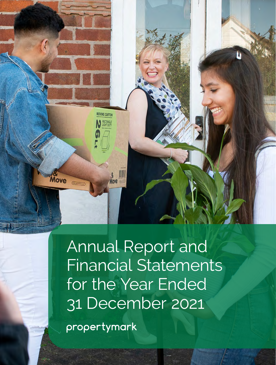

Annual Report and Financial Statements for the Year Ended 31 December 2021

propertymark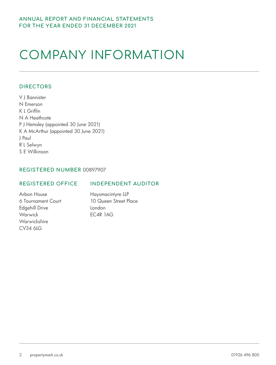# COMPANY INFORMATION

#### **DIRECTORS**

V J Bannister N Emerson K L Griffin N A Heathcote P J Hemsley (appointed 30 June 2021) K A McArthur (appointed 30 June 2021) J Paul R L Selwyn S E Wilkinson

#### REGISTERED NUMBER 00897907

### REGISTERED OFFICE INDEPENDENT AUDITOR

- Arbon House 6 Tournament Court Edgehill Drive Warwick **Warwickshire** CV34 6LG
- Haysmacintyre LLP 10 Queen Street Place London EC4R 1AG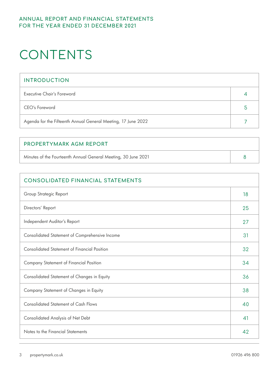### ANNUAL REPORT AND FINANCIAL STATEMENTS FOR THE YEAR ENDED 31 DECEMBER 2021

# **CONTENTS**

| <b>INTRODUCTION</b>                                           |  |
|---------------------------------------------------------------|--|
| Executive Chair's Foreword                                    |  |
| CEO's Foreword                                                |  |
| Agenda for the Fifteenth Annual General Meeting, 17 June 2022 |  |

| PROPERTYMARK AGM REPORT                                        |  |
|----------------------------------------------------------------|--|
| Minutes of the Fourteenth Annual General Meeting, 30 June 2021 |  |

| <b>CONSOLIDATED FINANCIAL STATEMENTS</b>       |    |
|------------------------------------------------|----|
| Group Strategic Report                         | 18 |
| Directors' Report                              | 25 |
| Independent Auditor's Report                   | 27 |
| Consolidated Statement of Comprehensive Income | 31 |
| Consolidated Statement of Financial Position   | 32 |
| Company Statement of Financial Position        | 34 |
| Consolidated Statement of Changes in Equity    | 36 |
| Company Statement of Changes in Equity         | 38 |
| <b>Consolidated Statement of Cash Flows</b>    | 40 |
| Consolidated Analysis of Net Debt              | 41 |
| Notes to the Financial Statements              | 42 |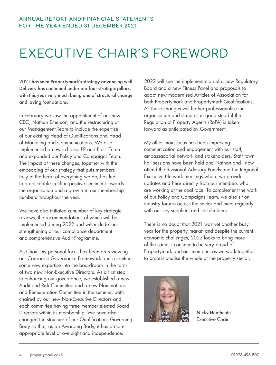# EXECUTIVE CHAIR'S FOREWORD

2021 has seen Propertymark's strategy advancing well. Delivery has continued under our four strategic pillars, with this year very much being one of structural change and laying foundations.

In February we saw the appointment of our new CEO, Nathan Emerson, and the restructuring of our Management Team to include the expertise of our existing Head of Qualifications and Head of Marketing and Communications. We also implemented a new in-house PR and Press Team and expanded our Policy and Campaigns Team. The impact of these changes, together with the embedding of our strategy that puts members truly at the heart of everything we do, has led to a noticeable uplift in positive sentiment towards the organisation and a growth in our membership numbers throughout the year.

We have also initiated a number of key strategic reviews, the recommendations of which will be implemented during 2022 and will include the strengthening of our compliance department and comprehensive Audit Programme.

As Chair, my personal focus has been on reviewing our Corporate Governance Framework and recruiting some new expertise into the boardroom in the form of two new Non-Executive Directors. As a first step to enhancing our governance, we established a new Audit and Risk Committee and a new Nominations and Remuneration Committee in the summer, both chaired by our new Non-Executive Directors and each committee having three member elected Board Directors within its membership. We have also changed the structure of our Qualifications Governing Body so that, as an Awarding Body, it has a more appropriate level of oversight and independence.

2022 will see the implementation of a new Regulatory Board and a new Fitness Panel and proposals to adopt new modernised Articles of Association for both Propertymark and Propertymark Qualifications. All these changes will further professionalise the organisation and stand us in good stead if the Regulation of Property Agents (RoPA) is taken forward as anticipated by Government.

My other main focus has been improving communication and engagement with our staff, ambassadorial network and stakeholders. Staff town hall sessions have been held and Nathan and I now attend the divisional Advisory Panels and the Regional Executive Network meetings where we provide updates and hear directly from our members who are working at the coal face. To complement the work of our Policy and Campaigns Team, we also sit on industry forums across the sector and meet regularly with our key suppliers and stakeholders.

There is no doubt that 2021 was yet another busy year for the property market and despite the current economic challenges, 2022 looks to bring more of the same. I continue to be very proud of Propertymark and our members as we work together to professionalise the whole of the property sector.



Nicky Heathcote Executive Chair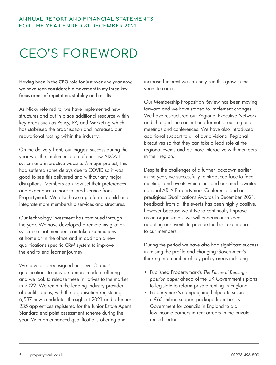# CEO'S FOREWORD

Having been in the CEO role for just over one year now, we have seen considerable movement in my three key focus areas of reputation, stability and results.

As Nicky referred to, we have implemented new structures and put in place additional resource within key areas such as Policy, PR, and Marketing which has stabilised the organisation and increased our reputational footing within the industry.

On the delivery front, our biggest success during the year was the implementation of our new ARCA IT system and interactive website. A major project, this had suffered some delays due to COVID so it was good to see this delivered and without any major disruptions. Members can now set their preferences and experience a more tailored service from Propertymark. We also have a platform to build and integrate more membership services and structures.

Our technology investment has continued through the year. We have developed a remote invigilation system so that members can take examinations at home or in the office and in addition a new qualifications specific CRM system to improve the end to end learner journey.

We have also redesigned our Level 3 and 4 qualifications to provide a more modern offering and we look to release these initiatives to the market in 2022. We remain the leading industry provider of qualifications, with the organisation registering 6,537 new candidates throughout 2021 and a further 235 apprentices registered for the Junior Estate Agent Standard end point assessment scheme during the year. With an enhanced qualifications offering and

increased interest we can only see this grow in the years to come.

Our Membership Proposition Review has been moving forward and we have started to implement changes. We have restructured our Regional Executive Network and changed the content and format of our regional meetings and conferences. We have also introduced additional support to all of our divisional Regional Executives so that they can take a lead role at the regional events and be more interactive with members in their region.

Despite the challenges of a further lockdown earlier in the year, we successfully reintroduced face to face meetings and events which included our much-awaited national ARLA Propertymark Conference and our prestigious Qualifications Awards in December 2021. Feedback from all the events has been highly positive, however because we strive to continually improve as an organisation, we will endeavour to keep adapting our events to provide the best experience to our members.

During the period we have also had significant success in raising the profile and changing Government's thinking in a number of key policy areas including:

- Published Propertymark's *The Future of Renting position paper* ahead of the UK Government's plans to legislate to reform private renting in England.
- Propertymark's campaigning helped to secure a £65 million support package from the UK Government for councils in England to aid low-income earners in rent arrears in the private rented sector.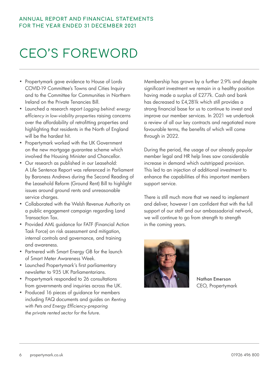# CEO'S FOREWORD

- Propertymark gave evidence to House of Lords COVID-19 Committee's Towns and Cities Inquiry and to the Committee for Communities in Northern Ireland on the Private Tenancies Bill.
- Launched a research report *Lagging behind: energy efficiency in low-viability properties* raising concerns over the affordability of retrofitting properties and highlighting that residents in the North of England will be the hardest hit.
- Propertymark worked with the UK Government on the new mortgage guarantee scheme which involved the Housing Minister and Chancellor.
- Our research as published in our Leasehold: A Life Sentence Report was referenced in Parliament by Baroness Andrews during the Second Reading of the Leasehold Reform (Ground Rent) Bill to highlight issues around ground rents and unreasonable service charges.
- Collaborated with the Welsh Revenue Authority on a public engagement campaign regarding Land Transaction Tax.
- Provided AML guidance for FATF (Financial Action Task Force) on risk assessment and mitigation, internal controls and governance, and training and awareness.
- Partnered with Smart Energy GB for the launch of Smart Meter Awareness Week.
- Launched Propertymark's first parliamentary newsletter to 935 UK Parliamentarians.
- Propertymark responded to 26 consultations from governments and inquiries across the UK.
- Produced 16 pieces of guidance for members including FAQ documents and guides on *Renting with Pets and Energy Efficiency-preparing the private rented sector for the future*.

Membership has grown by a further 2.9% and despite significant investment we remain in a healthy position having made a surplus of £277k. Cash and bank has decreased to £4,281k which still provides a strong financial base for us to continue to invest and improve our member services. In 2021 we undertook a review of all our key contracts and negotiated more favourable terms, the benefits of which will come through in 2022.

During the period, the usage of our already popular member legal and HR help lines saw considerable increase in demand which outstripped provision. This led to an injection of additional investment to enhance the capabilities of this important members support service.

There is still much more that we need to implement and deliver, however I am confident that with the full support of our staff and our ambassadorial network, we will continue to go from strength to strength in the coming years.



Nathan Emerson CEO, Propertymark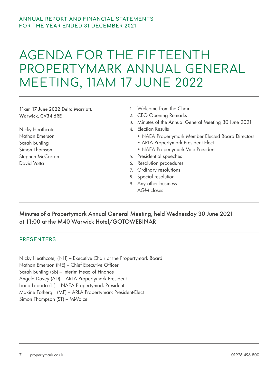### ANNUAL REPORT AND FINANCIAL STATEMENTS FOR THE YEAR ENDED 31 DECEMBER 2021

### AGENDA FOR THE FIFTEENTH PROPERTYMARK ANNUAL GENERAL MEETING, 11AM 17 JUNE 2022

11am 17 June 2022 Delta Marriott, Warwick, CV34 6RE

Nicky Heathcote Nathan Emerson Sarah Bunting Simon Thomson Stephen McCarron David Votta

- 1. Welcome from the Chair
- 2. CEO Opening Remarks
- 3. Minutes of the Annual General Meeting 30 June 2021
- 4. Election Results
	- NAEA Propertymark Member Elected Board Directors
	- ARLA Propertymark President Elect
	- NAEA Propertymark Vice President
- 5. Presidential speeches
- 6. Resolution procedures
- 7. Ordinary resolutions
- 8. Special resolution
- 9. Any other business AGM closes

### Minutes of a Propertymark Annual General Meeting, held Wednesday 30 June 2021 at 11:00 at the M40 Warwick Hotel/GOTOWEBINAR

#### PRESENTERS

Nicky Heathcote, (NH) – Executive Chair of the Propertymark Board Nathan Emerson (NE) – Chief Executive Officer Sarah Bunting (SB) – Interim Head of Finance Angela Davey (AD) – ARLA Propertymark President Liana Loporto (LL) – NAEA Propertymark President Maxine Fothergill (MF) – ARLA Propertymark President-Elect Simon Thompson (ST) – Mi-Voice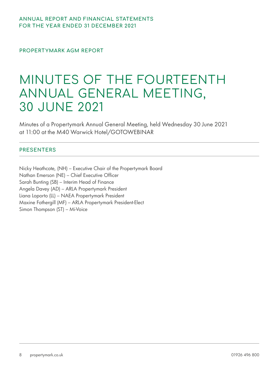PROPERTYMARK AGM REPORT

### MINUTES OF THE FOURTEENTH ANNUAL GENERAL MEETING, 30 JUNE 2021

Minutes of a Propertymark Annual General Meeting, held Wednesday 30 June 2021 at 11:00 at the M40 Warwick Hotel/GOTOWEBINAR

### **PRESENTERS**

Nicky Heathcote, (NH) – Executive Chair of the Propertymark Board Nathan Emerson (NE) – Chief Executive Officer Sarah Bunting (SB) – Interim Head of Finance Angela Davey (AD) – ARLA Propertymark President Liana Loporto (LL) – NAEA Propertymark President Maxine Fothergill (MF) – ARLA Propertymark President-Elect Simon Thompson (ST) – Mi-Voice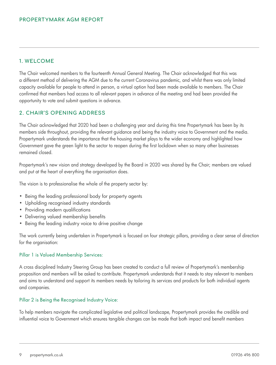### 1. WELCOME

The Chair welcomed members to the fourteenth Annual General Meeting. The Chair acknowledged that this was a different method of delivering the AGM due to the current Coronavirus pandemic, and whilst there was only limited capacity available for people to attend in person, a virtual option had been made available to members. The Chair confirmed that members had access to all relevant papers in advance of the meeting and had been provided the opportunity to vote and submit questions in advance.

### 2. CHAIR'S OPENING ADDRESS

The Chair acknowledged that 2020 had been a challenging year and during this time Propertymark has been by its members side throughout, providing the relevant guidance and being the industry voice to Government and the media. Propertymark understands the importance that the housing market plays to the wider economy and highlighted how Government gave the green light to the sector to reopen during the first lockdown when so many other businesses remained closed.

Propertymark's new vision and strategy developed by the Board in 2020 was shared by the Chair; members are valued and put at the heart of everything the organisation does.

The vision is to professionalise the whole of the property sector by:

- Being the leading professional body for property agents
- Upholding recognised industry standards
- Providing modern qualifications
- Delivering valued membership benefits
- Being the leading industry voice to drive positive change

The work currently being undertaken in Propertymark is focused on four strategic pillars, providing a clear sense of direction for the organisation:

#### Pillar 1 is Valued Membership Services:

A cross disciplined Industry Steering Group has been created to conduct a full review of Propertymark's membership proposition and members will be asked to contribute. Propertymark understands that it needs to stay relevant to members and aims to understand and support its members needs by tailoring its services and products for both individual agents and companies.

#### Pillar 2 is Being the Recognised Industry Voice:

To help members navigate the complicated legislative and political landscape, Propertymark provides the credible and influential voice to Government which ensures tangible changes can be made that both impact and benefit members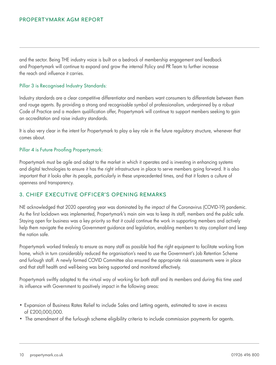and the sector. Being THE industry voice is built on a bedrock of membership engagement and feedback and Propertymark will continue to expand and grow the internal Policy and PR Team to further increase the reach and influence it carries.

#### Pillar 3 is Recognised Industry Standards:

Industry standards are a clear competitive differentiator and members want consumers to differentiate between them and rouge agents. By providing a strong and recognisable symbol of professionalism, underpinned by a robust Code of Practice and a modern qualification offer, Propertymark will continue to support members seeking to gain an accreditation and raise industry standards.

It is also very clear in the intent for Propertymark to play a key role in the future regulatory structure, whenever that comes about.

#### Pillar 4 is Future Proofing Propertymark:

Propertymark must be agile and adapt to the market in which it operates and is investing in enhancing systems and digital technologies to ensure it has the right infrastructure in place to serve members going forward. It is also important that it looks after its people, particularly in these unprecedented times, and that it fosters a culture of openness and transparency.

#### 3. CHIEF EXECUTIVE OFFICER'S OPENING REMARKS

NE acknowledged that 2020 operating year was dominated by the impact of the Coronavirus (COVID-19) pandemic. As the first lockdown was implemented, Propertymark's main aim was to keep its staff, members and the public safe. Staying open for business was a key priority so that it could continue the work in supporting members and actively help them navigate the evolving Government guidance and legislation, enabling members to stay compliant and keep the nation safe.

Propertymark worked tirelessly to ensure as many staff as possible had the right equipment to facilitate working from home, which in turn considerably reduced the organisation's need to use the Government's Job Retention Scheme and furlough staff. A newly formed COVID Committee also ensured the appropriate risk assessments were in place and that staff health and well-being was being supported and monitored effectively.

Propertymark swiftly adapted to the virtual way of working for both staff and its members and during this time used its influence with Government to positively impact in the following areas:

- Expansion of Business Rates Relief to include Sales and Letting agents, estimated to save in excess of £200,000,000.
- The amendment of the furlough scheme eligibility criteria to include commission payments for agents.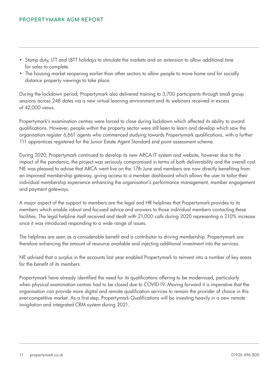- Stamp duty, LTT and LBTT holidays to stimulate the markets and an extension to allow additional time for sales to complete.
- The housing market reopening earlier than other sectors to allow people to move home and for socially distance property viewings to take place.

During the lockdown period, Propertymark also delivered training to 3,700 participants through small group sessions across 248 dates via a new virtual learning environment and its webinars received in excess of 42,000 views.

Propertymark's examination centres were forced to close during lockdown which affected its ability to award qualifications. However, people within the property sector were still keen to learn and develop which saw the organisation register 6,661 agents who commenced studying towards Propertymark qualifications, with a further 111 apprentices registered for the Junior Estate Agent Standard end point assessment scheme.

During 2020, Propertymark continued to develop its new ARCA IT system and website, however due to the impact of the pandemic, the project was seriously compromised in terms of both deliverability and the overall cost. NE was pleased to advise that ARCA went live on the 17th June and members are now directly benefiting from an improved membership gateway, giving access to a member dashboard which allows the user to tailor their individual membership experience enhancing the organisation's performance management, member engagement and payment gateways.

A major aspect of the support to members are the legal and HR helplines that Propertymark provides to its members which enable robust and focused advice and answers to those individual members contacting these facilities. The legal helpline itself received and dealt with 21,000 calls during 2020 representing a 210% increase since it was introduced responding to a wide range of issues.

The helplines are seen as a considerable benefit and a contributor to driving membership. Propertymark are therefore enhancing the amount of resource available and injecting additional investment into the services.

NE advised that a surplus in the accounts last year enabled Propertymark to reinvest into a number of key areas for the benefit of its members.

Propertymark have already identified the need for its qualifications offering to be modernised, particularly when physical examination centres had to be closed due to COVID-19. Moving forward it is imperative that the organisation can provide more digital and remote qualification services to remain the provider of choice in this ever-competitive market. As a first step, Propertymark Qualifications will be investing heavily in a new remote invigilation and integrated CRM system during 2021.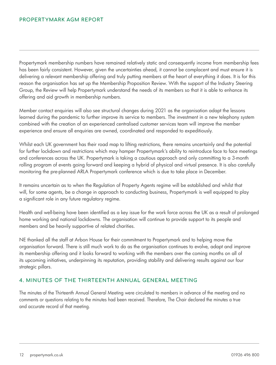Propertymark membership numbers have remained relatively static and consequently income from membership fees has been fairly consistent. However, given the uncertainties ahead, it cannot be complacent and must ensure it is delivering a relevant membership offering and truly putting members at the heart of everything it does. It is for this reason the organisation has set up the Membership Proposition Review. With the support of the Industry Steering Group, the Review will help Propertymark understand the needs of its members so that it is able to enhance its offering and aid growth in membership numbers.

Member contact enquiries will also see structural changes during 2021 as the organisation adapt the lessons learned during the pandemic to further improve its service to members. The investment in a new telephony system combined with the creation of an experienced centralised customer services team will improve the member experience and ensure all enquiries are owned, coordinated and responded to expeditiously.

Whilst each UK government has their road map to lifting restrictions, there remains uncertainly and the potential for further lockdown and restrictions which may hamper Propertymark's ability to reintroduce face to face meetings and conferences across the UK. Propertymark is taking a cautious approach and only committing to a 3-month rolling program of events going forward and keeping a hybrid of physical and virtual presence. It is also carefully monitoring the pre-planned ARLA Propertymark conference which is due to take place in December.

It remains uncertain as to when the Regulation of Property Agents regime will be established and whilst that will, for some agents, be a change in approach to conducting business, Propertymark is well equipped to play a significant role in any future regulatory regime.

Health and well-being have been identified as a key issue for the work force across the UK as a result of prolonged home working and national lockdowns. The organisation will continue to provide support to its people and members and be heavily supportive of related charities.

NE thanked all the staff at Arbon House for their commitment to Propertymark and to helping move the organisation forward. There is still much work to do as the organisation continues to evolve, adapt and improve its membership offering and it looks forward to working with the members over the coming months on all of its upcoming initiatives, underpinning its reputation, providing stability and delivering results against our four strategic pillars.

### 4. MINUTES OF THE THIRTEENTH ANNUAL GENERAL MEETING

The minutes of the Thirteenth Annual General Meeting were circulated to members in advance of the meeting and no comments or questions relating to the minutes had been received. Therefore, The Chair declared the minutes a true and accurate record of that meeting.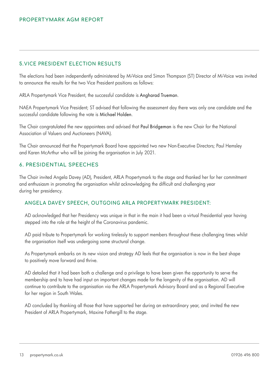### 5.VICE PRESIDENT ELECTION RESULTS

The elections had been independently administered by Mi-Voice and Simon Thompson (ST) Director of Mi-Voice was invited to announce the results for the two Vice President positions as follows:

ARLA Propertymark Vice President, the successful candidate is Angharad Trueman.

NAEA Propertymark Vice President; ST advised that following the assessment day there was only one candidate and the successful candidate following the vote is Michael Holden.

The Chair congratulated the new appointees and advised that Paul Bridgeman is the new Chair for the National Association of Valuers and Auctioneers (NAVA).

The Chair announced that the Propertymark Board have appointed two new Non-Executive Directors; Paul Hemsley and Karen McArthur who will be joining the organisation in July 2021.

### 6. PRESIDENTIAL SPEECHES

The Chair invited Angela Davey (AD), President, ARLA Propertymark to the stage and thanked her for her commitment and enthusiasm in promoting the organisation whilst acknowledging the difficult and challenging year during her presidency.

### ANGELA DAVEY SPEECH, OUTGOING ARLA PROPERTYMARK PRESIDENT:

AD acknowledged that her Presidency was unique in that in the main it had been a virtual Presidential year having stepped into the role at the height of the Coronavirus pandemic.

AD paid tribute to Propertymark for working tirelessly to support members throughout these challenging times whilst the organisation itself was undergoing some structural change.

As Propertymark embarks on its new vision and strategy AD feels that the organisation is now in the best shape to positively move forward and thrive.

AD detailed that it had been both a challenge and a privilege to have been given the opportunity to serve the membership and to have had input on important changes made for the longevity of the organisation. AD will continue to contribute to the organisation via the ARLA Propertymark Advisory Board and as a Regional Executive for her region in South Wales.

AD concluded by thanking all those that have supported her during an extraordinary year, and invited the new President of ARLA Propertymark, Maxine Fothergill to the stage.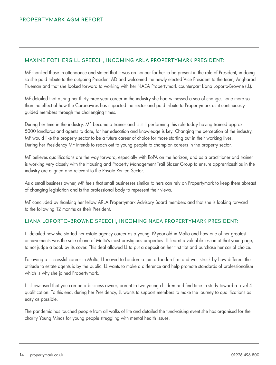#### MAXINE FOTHERGILL SPEECH, INCOMING ARLA PROPERTYMARK PRESIDENT:

MF thanked those in attendance and stated that it was an honour for her to be present in the role of President, in doing so she paid tribute to the outgoing President AD and welcomed the newly elected Vice President to the team, Angharad Trueman and that she looked forward to working with her NAEA Propertymark counterpart Liana Loporto-Browne (LL).

MF detailed that during her thirty-three-year career in the industry she had witnessed a sea of change, none more so than the effect of how the Coronavirus has impacted the sector and paid tribute to Propertymark as it continuously guided members through the challenging times.

During her time in the industry, MF became a trainer and is still performing this role today having trained approx. 5000 landlords and agents to date, for her education and knowledge is key. Changing the perception of the industry, MF would like the property sector to be a future career of choice for those starting out in their working lives. During her Presidency MF intends to reach out to young people to champion careers in the property sector.

MF believes qualifications are the way forward, especially with RoPA on the horizon, and as a practitioner and trainer is working very closely with the Housing and Property Management Trail Blazer Group to ensure apprenticeships in the industry are aligned and relevant to the Private Rented Sector.

As a small business owner, MF feels that small businesses similar to hers can rely on Propertymark to keep them abreast of changing legislation and is the professional body to represent their views.

MF concluded by thanking her fellow ARLA Propertymark Advisory Board members and that she is looking forward to the following 12 months as their President.

#### LIANA LOPORTO-BROWNE SPEECH, INCOMING NAEA PROPERTYMARK PRESIDENT:

LL detailed how she started her estate agency career as a young 19-year-old in Malta and how one of her greatest achievements was the sale of one of Malta's most prestigious properties. LL learnt a valuable lesson at that young age, to not judge a book by its cover. This deal allowed LL to put a deposit on her first flat and purchase her car of choice.

Following a successful career in Malta, LL moved to London to join a London firm and was struck by how different the attitude to estate agents is by the public. LL wants to make a difference and help promote standards of professionalism which is why she joined Propertymark.

LL showcased that you can be a business owner, parent to two young children and find time to study toward a Level 4 qualification. To this end, during her Presidency, LL wants to support members to make the journey to qualifications as easy as possible.

The pandemic has touched people from all walks of life and detailed the fund-raising event she has organised for the charity Young Minds for young people struggling with mental health issues.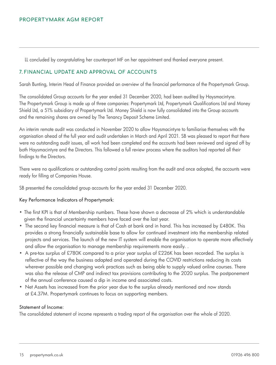LL concluded by congratulating her counterpart MF on her appointment and thanked everyone present.

### 7. FINANCIAL UPDATE AND APPROVAL OF ACCOUNTS

Sarah Bunting, Interim Head of Finance provided an overview of the financial performance of the Propertymark Group.

The consolidated Group accounts for the year ended 31 December 2020, had been audited by Haysmacintyre. The Propertymark Group is made up of three companies: Propertymark Ltd, Propertymark Qualifications Ltd and Money Shield Ltd, a 51% subsidiary of Propertymark Ltd. Money Shield is now fully consolidated into the Group accounts and the remaining shares are owned by The Tenancy Deposit Scheme Limited.

An interim remote audit was conducted in November 2020 to allow Haysmacintyre to familiarise themselves with the organisation ahead of the full year end audit undertaken in March and April 2021. SB was pleased to report that there were no outstanding audit issues, all work had been completed and the accounts had been reviewed and signed off by both Haysmacintyre and the Directors. This followed a full review process where the auditors had reported all their findings to the Directors.

There were no qualifications or outstanding control points resulting from the audit and once adopted, the accounts were ready for filling at Companies House.

SB presented the consolidated group accounts for the year ended 31 December 2020.

#### Key Performance Indicators of Propertymark:

- The first KPI is that of Membership numbers. These have shown a decrease of 2% which is understandable given the financial uncertainty members have faced over the last year.
- The second key financial measure is that of Cash at bank and in hand. This has increased by £480K. This provides a strong financially sustainable base to allow for continued investment into the membership related projects and services. The launch of the new IT system will enable the organisation to operate more effectively and allow the organisation to manage membership requirements more easily. .
- A pre-tax surplus of £780K compared to a prior year surplus of £226K has been recorded. The surplus is reflective of the way the business adapted and operated during the COVID restrictions reducing its costs wherever possible and changing work practices such as being able to supply valued online courses. There was also the release of CMP and indirect tax provisions contributing to the 2020 surplus. The postponement of the annual conference caused a dip in income and associated costs.
- Net Assets has increased from the prior year due to the surplus already mentioned and now stands at £4.37M. Propertymark continues to focus on supporting members.

#### Statement of Income:

The consolidated statement of income represents a trading report of the organisation over the whole of 2020.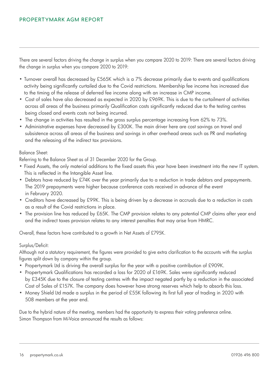There are several factors driving the change in surplus when you compare 2020 to 2019: There are several factors driving the change in surplus when you compare 2020 to 2019:

- Turnover overall has decreased by £565K which is a 7% decrease primarily due to events and qualifications activity being significantly curtailed due to the Covid restrictions. Membership fee income has increased due to the timing of the release of deferred fee income along with an increase in CMP income.
- Cost of sales have also decreased as expected in 2020 by £969K. This is due to the curtailment of activities across all areas of the business primarily Qualification costs significantly reduced due to the testing centres being closed and events costs not being incurred.
- The change in activities has resulted in the gross surplus percentage increasing from 62% to 73%.
- Administrative expenses have decreased by £300K. The main driver here are cost savings on travel and subsistence across all areas of the business and savings in other overhead areas such as PR and marketing and the releasing of the indirect tax provisions.

#### Balance Sheet:

Referring to the Balance Sheet as of 31 December 2020 for the Group.

- Fixed Assets, the only material additions to the fixed assets this year have been investment into the new IT system. This is reflected in the Intangible Asset line.
- Debtors have reduced by £74K over the year primarily due to a reduction in trade debtors and prepayments. The 2019 prepayments were higher because conference costs received in advance of the event in February 2020.
- Creditors have decreased by £99K. This is being driven by a decrease in accruals due to a reduction in costs as a result of the Covid restrictions in place.
- The provision line has reduced by £65K. The CMP provision relates to any potential CMP claims after year end and the indirect taxes provision relates to any interest penalties that may arise from HMRC.

Overall, these factors have contributed to a growth in Net Assets of £795K.

#### Surplus/Deficit:

Although not a statutory requirement, the figures were provided to give extra clarification to the accounts with the surplus figures split down by company within the group.

- Propertymark Ltd is driving the overall surplus for the year with a positive contribution of £909K.
- Propertymark Qualifications has recorded a loss for 2020 of £169K. Sales were significantly reduced by £345K due to the closure of testing centres with the impact negated partly by a reduction in the associated Cost of Sales of £157K. The company does however have strong reserves which help to absorb this loss.
- Money Shield Ltd made a surplus in the period of £55K following its first full year of trading in 2020 with 508 members at the year end.

Due to the hybrid nature of the meeting, members had the opportunity to express their voting preference online. Simon Thompson from Mi-Voice announced the results as follows: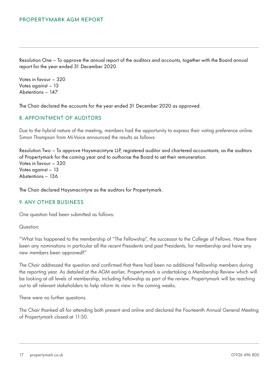Resolution One – To approve the annual report of the auditors and accounts, together with the Board annual report for the year ended 31 December 2020.

Votes in favour – 320 Votes against – 13 Abstentions – 147

The Chair declared the accounts for the year ended 31 December 2020 as approved.

#### 8. APPOINTMENT OF AUDITORS

Due to the hybrid nature of the meeting, members had the opportunity to express their voting preference online. Simon Thompson from Mi-Voice announced the results as follows:

Resolution Two – To approve Haysmacintyre LLP, registered auditor and chartered accountants, as the auditors of Propertymark for the coming year and to authorise the Board to set their remuneration. Votes in favour – 330 Votes against – 13 Abstentions – 136

The Chair declared Haysmacintyre as the auditors for Propertymark.

#### 9. ANY OTHER BUSINESS

One question had been submitted as follows:

Question:

"What has happened to the membership of "The Fellowship", the successor to the College of Fellows. Have there been any nominations in particular all the recent Presidents and past Presidents, for membership and have any new members been approved?"

The Chair addressed the question and confirmed that there had been no additional Fellowship members during the reporting year. As detailed at the AGM earlier, Propertymark is undertaking a Membership Review which will be looking at all levels of membership, including Fellowship as part of the review. Propertymark will be reaching out to all relevant stakeholders to help inform its view in the coming weeks.

There were no further questions.

The Chair thanked all for attending both present and online and declared the Fourteenth Annual General Meeting of Propertymark closed at 11:50.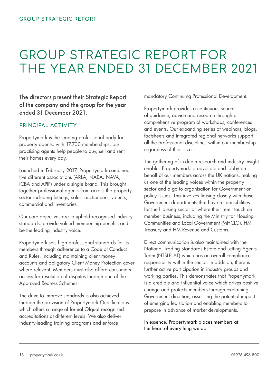# GROUP STRATEGIC REPORT FOR THE YEAR ENDED 31 DECEMBER 2021

The directors present their Strategic Report of the company and the group for the year ended 31 December 2021.

#### PRINCIPAL ACTIVITY

Propertymark is the leading professional body for property agents, with 17,700 memberships, our practising agents help people to buy, sell and rent their homes every day.

Launched in February 2017, Propertymark combined five different associations (ARLA, NAEA, NAVA, ICBA and APIP) under a single brand. This brought together professional agents from across the property sector including lettings, sales, auctioneers, valuers, commercial and inventories.

Our core objectives are to uphold recognised industry standards, provide valued membership benefits and be the leading industry voice.

Propertymark sets high professional standards for its members through adherence to a Code of Conduct and Rules, including maintaining client money accounts and obligatory Client Money Protection cover where relevant. Members must also afford consumers access for resolution of disputes through one of the Approved Redress Schemes.

The drive to improve standards is also achieved through the provision of Propertymark Qualifications which offers a range of formal Ofqual recognised accreditations at different levels. We also deliver industry-leading training programs and enforce

mandatory Continuing Professional Development.

Propertymark provides a continuous source of guidance, advice and research through a comprehensive program of workshops, conferences and events. Our expanding series of webinars, blogs, factsheets and integrated regional networks support all the professional disciplines within our membership regardless of their size.

The gathering of in-depth research and industry insight enables Propertymark to advocate and lobby on behalf of our members across the UK nations, making us one of the leading voices within the property sector and a go to organisation for Government on policy issues. This involves liaising closely with those Government departments that have responsibilities for the Housing sector or where their remit touch on member business, including the Ministry for Housing Communities and Local Government (MHCLG), HM Treasury and HM Revenue and Customs.

Direct communication is also maintained with the National Trading Standards Estate and Letting Agents Team (NTSLELAT) which has an overall compliance responsibility within the sector. In addition, there is further active participation in industry groups and working parties. This demonstrates that Propertymark is a credible and influential voice which drives positive change and protects members through explaining Government direction, assessing the potential impact of emerging legislation and enabling members to prepare in advance of market developments.

In essence, Propertymark places members at the heart of everything we do.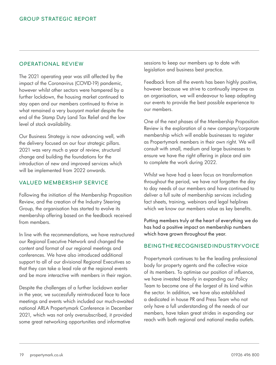#### OPERATIONAL REVIEW

The 2021 operating year was still affected by the impact of the Coronavirus (COVID-19) pandemic, however whilst other sectors were hampered by a further lockdown, the housing market continued to stay open and our members continued to thrive in what remained a very buoyant market despite the end of the Stamp Duty Land Tax Relief and the low level of stock availability.

Our Business Strategy is now advancing well, with the delivery focused on our four strategic pillars. 2021 was very much a year of review, structural change and building the foundations for the introduction of new and improved services which will be implemented from 2022 onwards.

#### VALUED MEMBERSHIP SERVICE

Following the initiation of the Membership Proposition Review, and the creation of the Industry Steering Group, the organisation has started to evolve its membership offering based on the feedback received from members.

In line with the recommendations, we have restructured our Regional Executive Network and changed the content and format of our regional meetings and conferences. We have also introduced additional support to all of our divisional Regional Executives so that they can take a lead role at the regional events and be more interactive with members in their region.

Despite the challenges of a further lockdown earlier in the year, we successfully reintroduced face to face meetings and events which included our much-awaited national ARLA Propertymark Conference in December 2021, which was not only oversubscribed, it provided some great networking opportunities and informative

sessions to keep our members up to date with legislation and business best practice.

Feedback from all the events has been highly positive, however because we strive to continually improve as an organisation, we will endeavour to keep adapting our events to provide the best possible experience to our members.

One of the next phases of the Membership Proposition Review is the exploration of a new company/corporate membership which will enable businesses to register as Propertymark members in their own right. We will consult with small, medium and large businesses to ensure we have the right offering in place and aim to complete the work during 2022.

Whilst we have had a keen focus on transformation throughout the period, we have not forgotten the day to day needs of our members and have continued to deliver a full suite of membership services including fact sheets, training, webinars and legal helplines which we know our members value as key benefits.

Putting members truly at the heart of everything we do has had a positive impact on membership numbers which have grown throughout the year.

### BEING THE RECOGNISED INDUSTRY VOICE

Propertymark continues to be the leading professional body for property agents and the collective voice of its members. To optimise our position of influence, we have invested heavily in expanding our Policy Team to become one of the largest of its kind within the sector. In addition, we have also established a dedicated in house PR and Press Team who not only have a full understanding of the needs of our members, have taken great strides in expanding our reach with both regional and national media outlets.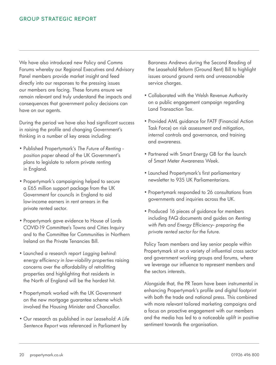We have also introduced new Policy and Comms Forums whereby our Regional Executives and Advisory Panel members provide market insight and feed directly into our responses to the pressing issues our members are facing. These forums ensure we remain relevant and truly understand the impacts and consequences that government policy decisions can have on our agents.

During the period we have also had significant success in raising the profile and changing Government's thinking in a number of key areas including:

- Published Propertymark's *The Future of Renting position paper* ahead of the UK Government's plans to legislate to reform private renting in England.
- Propertymark's campaigning helped to secure a £65 million support package from the UK Government for councils in England to aid low-income earners in rent arrears in the private rented sector.
- Propertymark gave evidence to House of Lords COVID-19 Committee's Towns and Cities Inquiry and to the Committee for Communities in Northern Ireland on the Private Tenancies Bill.
- Launched a research report *Lagging behind: energy efficiency in low-viability properties* raising concerns over the affordability of retrofitting properties and highlighting that residents in the North of England will be the hardest hit.
- Propertymark worked with the UK Government on the new mortgage guarantee scheme which involved the Housing Minister and Chancellor.
- Our research as published in our *Leasehold: A Life Sentence Report* was referenced in Parliament by

Baroness Andrews during the Second Reading of the Leasehold Reform (Ground Rent) Bill to highlight issues around ground rents and unreasonable service charges.

- Collaborated with the Welsh Revenue Authority on a public engagement campaign regarding Land Transaction Tax.
- Provided AML guidance for FATF (Financial Action Task Force) on risk assessment and mitigation, internal controls and governance, and training and awareness.
- Partnered with Smart Energy GB for the launch of Smart Meter Awareness Week.
- Launched Propertymark's first parliamentary newsletter to 935 UK Parliamentarians.
- Propertymark responded to 26 consultations from governments and inquiries across the UK.
- Produced 16 pieces of guidance for members including FAQ documents and guides on *Renting with Pets and Energy Efficiency- preparing the private rented sector for the future*.

Policy Team members and key senior people within Propertymark sit on a variety of influential cross sector and government working groups and forums, where we leverage our influence to represent members and the sectors interests.

Alongside that, the PR Team have been instrumental in enhancing Propertymark's profile and digital footprint with both the trade and national press. This combined with more relevant tailored marketing campaigns and a focus on proactive engagement with our members and the media has led to a noticeable uplift in positive sentiment towards the organisation.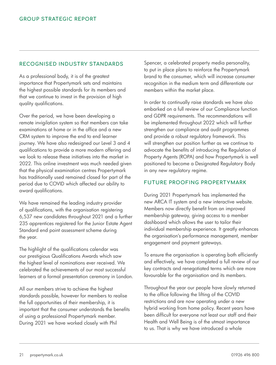### RECOGNISED INDUSTRY STANDARDS

As a professional body, it is of the greatest importance that Propertymark sets and maintains the highest possible standards for its members and that we continue to invest in the provision of high quality qualifications.

Over the period, we have been developing a remote invigilation system so that members can take examinations at home or in the office and a new CRM system to improve the end to end learner journey. We have also redesigned our Level 3 and 4 qualifications to provide a more modern offering and we look to release these initiatives into the market in 2022. This online investment was much needed given that the physical examination centres Propertymark has traditionally used remained closed for part of the period due to COVID which affected our ability to award qualifications.

We have remained the leading industry provider of qualifications, with the organisation registering 6,537 new candidates throughout 2021 and a further 235 apprentices registered for the Junior Estate Agent Standard end point assessment scheme during the year.

The highlight of the qualifications calendar was our prestigious Qualifications Awards which saw the highest level of nominations ever received. We celebrated the achievements of our most successful learners at a formal presentation ceremony in London.

All our members strive to achieve the highest standards possible, however for members to realise the full opportunities of their membership, it is important that the consumer understands the benefits of using a professional Propertymark member. During 2021 we have worked closely with Phil

Spencer, a celebrated property media personality, to put in place plans to reinforce the Propertymark brand to the consumer, which will increase consumer recognition in the medium term and differentiate our members within the market place.

In order to continually raise standards we have also embarked on a full review of our Compliance function and GDPR requirements. The recommendations will be implemented throughout 2022 which will further strengthen our compliance and audit programmes and provide a robust regulatory framework. This will strengthen our position further as we continue to advocate the benefits of introducing the Regulation of Property Agents (ROPA) and how Propertymark is well positioned to become a Designated Regulatory Body in any new regulatory regime.

#### FUTURE PROOFING PROPERTYMARK

During 2021 Propertymark has implemented the new ARCA IT system and a new interactive website. Members now directly benefit from an improved membership gateway, giving access to a member dashboard which allows the user to tailor their individual membership experience. It greatly enhances the organisation's performance management, member engagement and payment gateways.

To ensure the organisation is operating both efficiently and effectively, we have completed a full review of our key contracts and renegotiated terms which are more favourable for the organisation and its members.

Throughout the year our people have slowly returned to the office following the lifting of the COVID restrictions and are now operating under a new hybrid working from home policy. Recent years have been difficult for everyone not least our staff and their Health and Well Being is of the utmost importance to us. That is why we have introduced a whole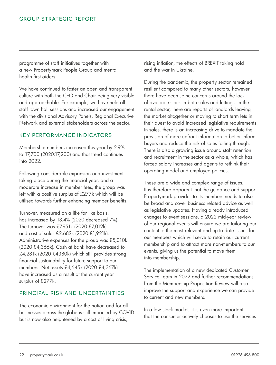programme of staff initiatives together with a new Propertymark People Group and mental health first aiders.

We have continued to foster an open and transparent culture with both the CEO and Chair being very visible and approachable. For example, we have held all staff town hall sessions and increased our engagement with the divisional Advisory Panels, Regional Executive Network and external stakeholders across the sector.

### KEY PERFORMANCE INDICATORS

Membership numbers increased this year by 2.9% to 17,700 (2020:17,200) and that trend continues into 2022.

Following considerable expansion and investment taking place during the financial year, and a moderate increase in member fees, the group was left with a positive surplus of £277k which will be utilised towards further enhancing member benefits.

Turnover, measured on a like for like basis, has increased by 13.4% (2020 decreased 7%). The turnover was £7,951k (2020 £7,012k) and cost of sales £2,682k (2020 £1,921k). Administrative expenses for the group was £5,010k (2020 £4,366k). Cash at bank have decreased to £4,281k (2020 £4380k) which still provides strong financial sustainability for future support to our members. Net assets £4,645k (2020 £4,367k) have increased as a result of the current year surplus of £277k.

### PRINCIPAL RISK AND UNCERTAINTIES

The economic environment for the nation and for all businesses across the globe is still impacted by COVID but is now also heightened by a cost of living crisis,

rising inflation, the effects of BREXIT taking hold and the war in Ukraine.

During the pandemic, the property sector remained resilient compared to many other sectors, however there have been some concerns around the lack of available stock in both sales and lettings. In the rental sector, there are reports of landlords leaving the market altogether or moving to short term lets in their quest to avoid increased legislative requirements. In sales, there is an increasing drive to mandate the provision of more upfront information to better inform buyers and reduce the risk of sales falling through. There is also a growing issue around staff retention and recruitment in the sector as a whole, which has forced salary increases and agents to rethink their operating model and employee policies.

These are a wide and complex range of issues. It is therefore apparent that the guidance and support Propertymark provides to its members needs to also be broad and cover business related advice as well as legislative updates. Having already introduced changes to event sessions, a 2022 mid-year review of our regional events will ensure we are tailoring our content to the most relevant and up to date issues for our members which will serve to retain our current membership and to attract more non-members to our events, giving us the potential to move them into membership.

The implementation of a new dedicated Customer Service Team in 2022 and further recommendations from the Membership Proposition Review will also improve the support and experience we can provide to current and new members.

In a low stock market, it is even more important that the consumer actively chooses to use the services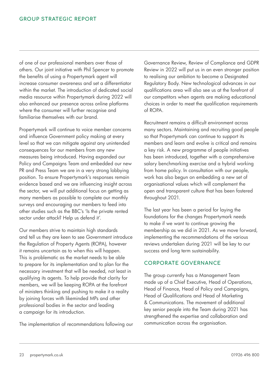of one of our professional members over those of others. Our joint initiative with Phil Spencer to promote the benefits of using a Propertymark agent will increase consumer awareness and set a differentiator within the market. The introduction of dedicated social media resource within Propertymark during 2022 will also enhanced our presence across online platforms where the consumer will further recognise and familiarise themselves with our brand.

Propertymark will continue to voice member concerns and influence Government policy making at every level so that we can mitigate against any unintended consequences for our members from any new measures being introduced. Having expanded our Policy and Campaigns Team and embedded our new PR and Press Team we are in a very strong lobbying position. To ensure Propertymark's responses remain evidence based and we are influencing insight across the sector, we will put additional focus on getting as many members as possible to complete our monthly surveys and encouraging our members to feed into other studies such as the BBC's 'Is the private rented sector under attack? Help us defend it'.

Our members strive to maintain high standards and tell us they are keen to see Government introduce the Regulation of Property Agents (ROPA), however it remains uncertain as to when this will happen. This is problematic as the market needs to be able to prepare for its implementation and to plan for the necessary investment that will be needed, not least in qualifying its agents. To help provide that clarity for members, we will be keeping ROPA at the forefront of ministers thinking and pushing to make it a reality by joining forces with likeminded MPs and other professional bodies in the sector and leading a campaign for its introduction.

The implementation of recommendations following our

Governance Review, Review of Compliance and GDPR Review in 2022 will put us in an even stronger position to realising our ambition to become a Designated Regulatory Body. New technological advances in our qualifications area will also see us at the forefront of our competitors when agents are making educational choices in order to meet the qualification requirements of ROPA.

Recruitment remains a difficult environment across many sectors. Maintaining and recruiting good people so that Propertymark can continue to support its members and learn and evolve is critical and remains a key risk. A new programme of people initiatives has been introduced, together with a comprehensive salary benchmarking exercise and a hybrid working from home policy. In consultation with our people, work has also begun on embedding a new set of organisational values which will complement the open and transparent culture that has been fostered throughout 2021.

The last year has been a period for laying the foundations for the changes Propertymark needs to make if we want to continue growing the membership as we did in 2021. As we move forward, implementing the recommendations of the various reviews undertaken during 2021 will be key to our success and long term sustainability.

### CORPORATE GOVERNANCE

The group currently has a Management Team made up of a Chief Executive, Head of Operations, Head of Finance, Head of Policy and Campaigns, Head of Qualifications and Head of Marketing & Communications. The movement of additional key senior people into the Team during 2021 has strengthened the expertise and collaboration and communication across the organisation.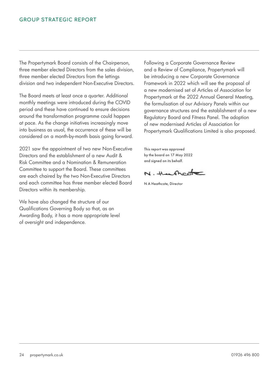The Propertymark Board consists of the Chairperson, three member elected Directors from the sales division, three member elected Directors from the lettings division and two independent Non-Executive Directors.

The Board meets at least once a quarter. Additional monthly meetings were introduced during the COVID period and these have continued to ensure decisions around the transformation programme could happen at pace. As the change initiatives increasingly move into business as usual, the occurrence of these will be considered on a month-by-month basis going forward.

2021 saw the appointment of two new Non-Executive Directors and the establishment of a new Audit & Risk Committee and a Nomination & Remuneration Committee to support the Board. These committees are each chaired by the two Non-Executive Directors and each committee has three member elected Board Directors within its membership.

We have also changed the structure of our Qualifications Governing Body so that, as an Awarding Body, it has a more appropriate level of oversight and independence.

Following a Corporate Governance Review and a Review of Compliance, Propertymark will be introducing a new Corporate Governance Framework in 2022 which will see the proposal of a new modernised set of Articles of Association for Propertymark at the 2022 Annual General Meeting, the formulisation of our Advisory Panels within our governance structures and the establishment of a new Regulatory Board and Fitness Panel. The adoption of new modernised Articles of Association for Propertymark Qualifications Limited is also proposed.

This report was approved by the board on 17 May 2022 and signed on its behalf.

N. therefree

N A Heathcote, Director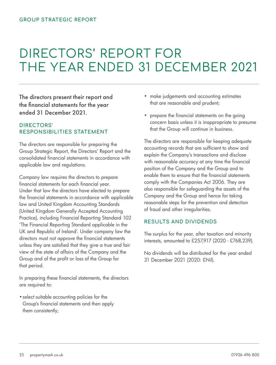# DIRECTORS' REPORT FOR THE YEAR ENDED 31 DECEMBER 2021

The directors present their report and the financial statements for the year ended 31 December 2021.

### DIRECTORS' RESPONSIBILITIES STATEMENT

The directors are responsible for preparing the Group Strategic Report, the Directors' Report and the consolidated financial statements in accordance with applicable law and regulations.

Company law requires the directors to prepare financial statements for each financial year. Under that law the directors have elected to prepare the financial statements in accordance with applicable law and United Kingdom Accounting Standards (United Kingdom Generally Accepted Accounting Practice), including Financial Reporting Standard 102 'The Financial Reporting Standard applicable in the UK and Republic of Ireland'. Under company law the directors must not approve the financial statements unless they are satisfied that they give a true and fair view of the state of affairs of the Company and the Group and of the profit or loss of the Group for that period.

In preparing these financial statements, the directors are required to:

• select suitable accounting policies for the Group's financial statements and then apply them consistently;

- make judgements and accounting estimates that are reasonable and prudent;
- prepare the financial statements on the going concern basis unless it is inappropriate to presume that the Group will continue in business.

The directors are responsible for keeping adequate accounting records that are sufficient to show and explain the Company's transactions and disclose with reasonable accuracy at any time the financial position of the Company and the Group and to enable them to ensure that the financial statements comply with the Companies Act 2006. They are also responsible for safeguarding the assets of the Company and the Group and hence for taking reasonable steps for the prevention and detection of fraud and other irregularities.

### RESULTS AND DIVIDENDS

The surplus for the year, after taxation and minority interests, amounted to £257,917 (2020 - £768,239).

No dividends will be distributed for the year ended 31 December 2021 (2020: £Nil).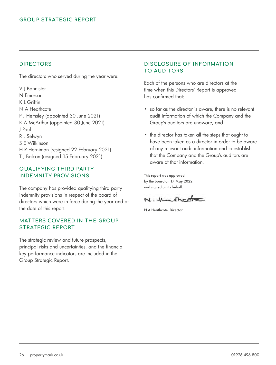### **DIRECTORS**

The directors who served during the year were:

V J Bannister N Emerson K L Griffin N A Heathcote P J Hemsley (appointed 30 June 2021) K A McArthur (appointed 30 June 2021) J Paul R L Selwyn S E Wilkinson H R Herniman (resigned 22 February 2021) T J Balcon (resigned 15 February 2021)

### QUALIFYING THIRD PARTY INDEMNITY PROVISIONS

The company has provided qualifying third party indemnity provisions in respect of the board of directors which were in force during the year and at the date of this report.

### MATTERS COVERED IN THE GROUP STRATEGIC REPORT

The strategic review and future prospects, principal risks and uncertainties, and the financial key performance indicators are included in the Group Strategic Report.

### DISCLOSURE OF INFORMATION TO AUDITORS

Each of the persons who are directors at the time when this Directors' Report is approved has confirmed that:

- so far as the director is aware, there is no relevant audit information of which the Company and the Group's auditors are unaware, and
- the director has taken all the steps that ought to have been taken as a director in order to be aware of any relevant audit information and to establish that the Company and the Group's auditors are aware of that information.

This report was approved by the board on 17 May 2022 and signed on its behalf.

N. Handhart

N A Heathcote, Director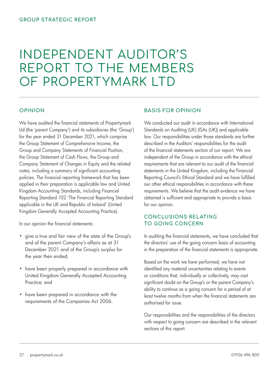### INDEPENDENT AUDITOR'S REPORT TO THE MEMBERS OF PROPERTYMARK LTD

#### OPINION

We have audited the financial statements of Propertymark Ltd (the 'parent Company') and its subsidiaries (the 'Group') for the year ended 31 December 2021, which comprise the Group Statement of Comprehensive Income, the Group and Company Statements of Financial Position, the Group Statement of Cash Flows, the Group and Company Statement of Changes in Equity and the related notes, including a summary of significant accounting policies. The financial reporting framework that has been applied in their preparation is applicable law and United Kingdom Accounting Standards, including Financial Reporting Standard 102 'The Financial Reporting Standard applicable in the UK and Republic of Ireland' (United Kingdom Generally Accepted Accounting Practice).

In our opinion the financial statements:

- give a true and fair view of the state of the Group's and of the parent Company's affairs as at 31 December 2021 and of the Group's surplus for the year then ended;
- have been properly prepared in accordance with United Kingdom Generally Accepted Accounting Practice; and
- have been prepared in accordance with the requirements of the Companies Act 2006.

#### BASIS FOR OPINION

We conducted our audit in accordance with International Standards on Auditing (UK) (ISAs (UK)) and applicable law. Our responsibilities under those standards are further described in the Auditors' responsibilities for the audit of the financial statements section of our report. We are independent of the Group in accordance with the ethical requirements that are relevant to our audit of the financial statements in the United Kingdom, including the Financial Reporting Council's Ethical Standard and we have fulfilled our other ethical responsibilities in accordance with these requirements. We believe that the audit evidence we have obtained is sufficient and appropriate to provide a basis for our opinion.

### CONCLUSIONS RELATING TO GOING CONCERN

In auditing the financial statements, we have concluded that the directors' use of the going concern basis of accounting in the preparation of the financial statements is appropriate.

Based on the work we have performed, we have not identified any material uncertainties relating to events or conditions that, individually or collectively, may cast significant doubt on the Group's or the parent Company's ability to continue as a going concern for a period of at least twelve months from when the financial statements are authorised for issue.

Our responsibilities and the responsibilities of the directors with respect to going concern are described in the relevant sections of this report.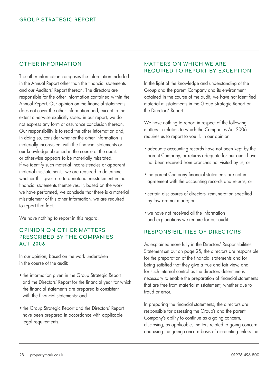### OTHER INFORMATION

The other information comprises the information included in the Annual Report other than the financial statements and our Auditors' Report thereon. The directors are responsible for the other information contained within the Annual Report. Our opinion on the financial statements does not cover the other information and, except to the extent otherwise explicitly stated in our report, we do not express any form of assurance conclusion thereon. Our responsibility is to read the other information and, in doing so, consider whether the other information is materially inconsistent with the financial statements or our knowledge obtained in the course of the audit, or otherwise appears to be materially misstated. If we identify such material inconsistencies or apparent material misstatements, we are required to determine whether this gives rise to a material misstatement in the financial statements themselves. If, based on the work we have performed, we conclude that there is a material misstatement of this other information, we are required to report that fact.

We have nothing to report in this regard.

### OPINION ON OTHER MATTERS PRESCRIBED BY THE COMPANIES ACT 2006

In our opinion, based on the work undertaken in the course of the audit:

- the information given in the Group Strategic Report and the Directors' Report for the financial year for which the financial statements are prepared is consistent with the financial statements; and
- the Group Strategic Report and the Directors' Report have been prepared in accordance with applicable legal requirements.

### MATTERS ON WHICH WE ARE REQUIRED TO REPORT BY EXCEPTION

In the light of the knowledge and understanding of the Group and the parent Company and its environment obtained in the course of the audit, we have not identified material misstatements in the Group Strategic Report or the Directors' Report.

We have nothing to report in respect of the following matters in relation to which the Companies Act 2006 requires us to report to you if, in our opinion:

- adequate accounting records have not been kept by the parent Company, or returns adequate for our audit have not been received from branches not visited by us; or
- the parent Company financial statements are not in agreement with the accounting records and returns; or
- certain disclosures of directors' remuneration specified by law are not made; or
- we have not received all the information and explanations we require for our audit.

### RESPONSIBILITIES OF DIRECTORS

As explained more fully in the Directors' Responsibilities Statement set out on page 25, the directors are responsible for the preparation of the financial statements and for being satisfied that they give a true and fair view, and for such internal control as the directors determine is necessary to enable the preparation of financial statements that are free from material misstatement, whether due to fraud or error.

In preparing the financial statements, the directors are responsible for assessing the Group's and the parent Company's ability to continue as a going concern, disclosing, as applicable, matters related to going concern and using the going concern basis of accounting unless the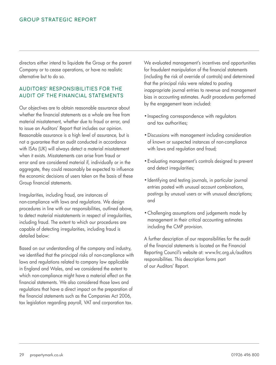directors either intend to liquidate the Group or the parent Company or to cease operations, or have no realistic alternative but to do so.

### AUDITORS' RESPONSIBILITIES FOR THE AUDIT OF THE FINANCIAL STATEMENTS

Our objectives are to obtain reasonable assurance about whether the financial statements as a whole are free from material misstatement, whether due to fraud or error, and to issue an Auditors' Report that includes our opinion. Reasonable assurance is a high level of assurance, but is not a guarantee that an audit conducted in accordance with ISAs (UK) will always detect a material misstatement when it exists. Misstatements can arise from fraud or error and are considered material if, individually or in the aggregate, they could reasonably be expected to influence the economic decisions of users taken on the basis of these Group financial statements.

Irregularities, including fraud, are instances of non-compliance with laws and regulations. We design procedures in line with our responsibilities, outlined above, to detect material misstatements in respect of irregularities, including fraud. The extent to which our procedures are capable of detecting irregularities, including fraud is detailed below:

Based on our understanding of the company and industry, we identified that the principal risks of non‑compliance with laws and regulations related to company law applicable in England and Wales, and we considered the extent to which non-compliance might have a material effect on the financial statements. We also considered those laws and regulations that have a direct impact on the preparation of the financial statements such as the Companies Act 2006, tax legislation regarding payroll, VAT and corporation tax.

We evaluated management's incentives and opportunities for fraudulent manipulation of the financial statements (including the risk of override of controls) and determined that the principal risks were related to posting inappropriate journal entries to revenue and management bias in accounting estimates. Audit procedures performed by the engagement team included:

- Inspecting correspondence with regulators and tax authorities;
- •Discussions with management including consideration of known or suspected instances of non-compliance with laws and regulation and fraud;
- Evaluating management's controls designed to prevent and detect irregularities;
- Identifying and testing journals, in particular journal entries posted with unusual account combinations, postings by unusual users or with unusual descriptions; and
- Challenging assumptions and judgements made by management in their critical accounting estimates including the CMP provision.

A further description of our responsibilities for the audit of the financial statements is located on the Financial Reporting Council's website at: www.frc.org.uk/auditors responsibilities. This description forms part of our Auditors' Report.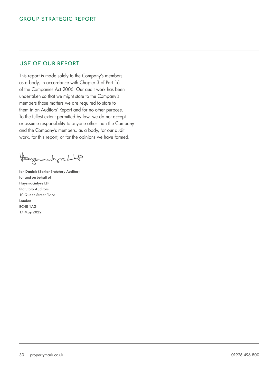### USE OF OUR REPORT

This report is made solely to the Company's members, as a body, in accordance with Chapter 3 of Part 16 of the Companies Act 2006. Our audit work has been undertaken so that we might state to the Company's members those matters we are required to state to them in an Auditors' Report and for no other purpose. To the fullest extent permitted by law, we do not accept or assume responsibility to anyone other than the Company and the Company's members, as a body, for our audit work, for this report, or for the opinions we have formed.

Heyerautyre LLD

Ian Daniels (Senior Statutory Auditor) for and on behalf of Haysmacintyre LLP Statutory Auditors 10 Queen Street Place London EC4R 1AG 17 May 2022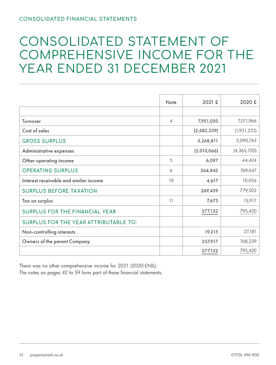### CONSOLIDATED STATEMENT OF COMPREHENSIVE INCOME FOR THE YEAR ENDED 31 DECEMBER 2021

|                                              | Note | 2021 £      | 2020 £        |
|----------------------------------------------|------|-------------|---------------|
|                                              |      |             |               |
| Turnover                                     | 4    | 7,951,050   | 7,011,966     |
| Cost of sales                                |      | (2,682,239) | (1,921,223)   |
| <b>GROSS SURPLUS</b>                         |      | 5,268,811   | 5,090,743     |
| Administrative expenses                      |      | (5,010,066) | (4, 365, 720) |
| Other operating income                       | 5    | 6,097       | 44,424        |
| <b>OPERATING SURPLUS</b>                     | 6    | 264,842     | 769,447       |
| Interest receivable and similar income       | 10   | 4,617       | 10,056        |
| <b>SURPLUS BEFORE TAXATION</b>               |      | 269,459     | 779,503       |
| Tax on surplus                               | 11   | 7,673       | 15,917        |
| <b>SURPLUS FOR THE FINANCIAL YEAR</b>        |      | 277,132     | 795,420       |
| <b>SURPLUS FOR THE YEAR ATTRIBUTABLE TO:</b> |      |             |               |
| Non-controlling interests                    |      | 19,215      | 27,181        |
| Owners of the parent Company                 |      | 257,917     | 768,239       |
|                                              |      | 277,132     | 795,420       |

There was no other comprehensive income for 2021 (2020:£NIL). The notes on pages 42 to 59 form part of these financial statements.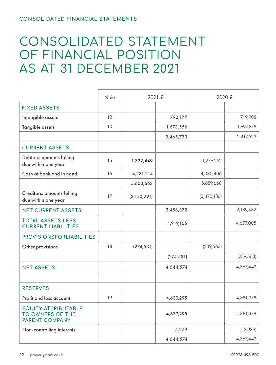### CONSOLIDATED STATEMENT OF FINANCIAL POSITION AS AT 31 DECEMBER 2021

|                                                                         | Note | 2021 £        |            | 2020 £      |            |
|-------------------------------------------------------------------------|------|---------------|------------|-------------|------------|
| <b>FIXED ASSETS</b>                                                     |      |               |            |             |            |
| Intangible assets                                                       | 12   |               | 792,177    |             | 719,705    |
| Tangible assets                                                         | 13   |               | 1,673,556  |             | 1,697,818  |
|                                                                         |      |               | 2,465,733  |             | 2,417,523  |
| <b>CURRENT ASSETS</b>                                                   |      |               |            |             |            |
| Debtors: amounts falling<br>due within one year                         | 15   | 1,322,449     |            | 1,279,262   |            |
| Cash at bank and in hand                                                | 16   | 4,281,214     |            | 4,380,406   |            |
|                                                                         |      | 5,603,663     |            | 5,659,668   |            |
| <b>Creditors: amounts falling</b><br>due within one year                | 17   | (3, 150, 291) |            | (3,470,186) |            |
| <b>NET CURRENT ASSETS</b>                                               |      |               | 2,453,372  |             | 2,189,482  |
| <b>TOTAL ASSETS LESS</b><br><b>CURRENT LIABILITIES</b>                  |      |               | 4,919,105  |             | 4,607,005  |
| <b>PROVISIONSFORLIABILITIES</b>                                         |      |               |            |             |            |
| Other provisions                                                        | 18   | (274, 531)    |            | (239, 563)  |            |
|                                                                         |      |               | (274, 531) |             | (239, 563) |
| <b>NET ASSETS</b>                                                       |      |               | 4,644,574  |             | 4,367,442  |
|                                                                         |      |               |            |             |            |
| <b>RESERVES</b>                                                         |      |               |            |             |            |
| Profit and loss account                                                 | 19   |               | 4,639,295  |             | 4,381,378  |
| <b>EQUITY ATTRIBUTABLE</b><br>TO OWNERS OF THE<br><b>PARENT COMPANY</b> |      |               | 4,639,295  |             | 4,381,378  |
| Non-controlling interests                                               |      |               | 5,279      |             | (13,936)   |
|                                                                         |      |               | 4,644,574  |             | 4,367,442  |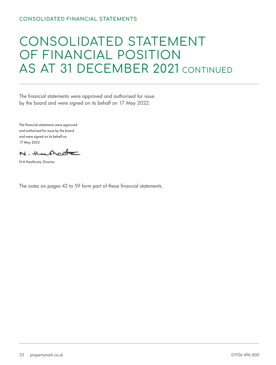### CONSOLIDATED STATEMENT OF FINANCIAL POSITION AS AT 31 DECEMBER 2021 CONTINUED

The financial statements were approved and authorised for issue by the board and were signed on its behalf on 17 May 2022.

The financial statements were approved and authorised for issue by the board and were signed on its behalf on 17 May 2022

N. therefreate

N A Heathcote, Director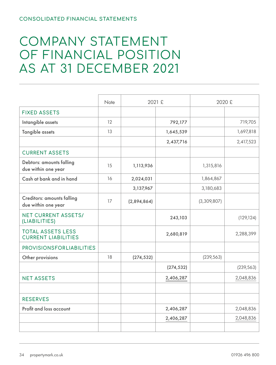### COMPANY STATEMENT OF FINANCIAL POSITION AS AT 31 DECEMBER 2021

|                                                          | Note |             | 2021 £     | 2020 £      |            |
|----------------------------------------------------------|------|-------------|------------|-------------|------------|
| <b>FIXED ASSETS</b>                                      |      |             |            |             |            |
| Intangible assets                                        | 12   |             | 792,177    |             | 719,705    |
| Tangible assets                                          | 13   |             | 1,645,539  |             | 1,697,818  |
|                                                          |      |             | 2,437,716  |             | 2,417,523  |
| <b>CURRENT ASSETS</b>                                    |      |             |            |             |            |
| Debtors: amounts falling<br>due within one year          | 15   | 1,113,936   |            | 1,315,816   |            |
| Cash at bank and in hand                                 | 16   | 2,024,031   |            | 1,864,867   |            |
|                                                          |      | 3,137,967   |            | 3,180,683   |            |
| <b>Creditors: amounts falling</b><br>due within one year | 17   | (2,894,864) |            | (3,309,807) |            |
| <b>NET CURRENT ASSETS/</b><br>(LIABILITIES)              |      |             | 243,103    |             | (129, 124) |
| <b>TOTAL ASSETS LESS</b><br><b>CURRENT LIABILITIES</b>   |      |             | 2,680,819  |             | 2,288,399  |
| <b>PROVISIONSFORLIABILITIES</b>                          |      |             |            |             |            |
| Other provisions                                         | 18   | (274, 532)  |            | (239, 563)  |            |
|                                                          |      |             | (274, 532) |             | (239, 563) |
| <b>NET ASSETS</b>                                        |      |             | 2,406,287  |             | 2,048,836  |
|                                                          |      |             |            |             |            |
| <b>RESERVES</b>                                          |      |             |            |             |            |
| Profit and loss account                                  |      |             | 2,406,287  |             | 2,048,836  |
|                                                          |      |             | 2,406,287  |             | 2,048,836  |
|                                                          |      |             |            |             |            |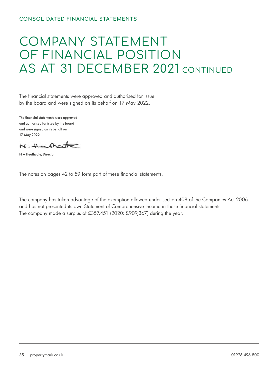### COMPANY STATEMENT OF FINANCIAL POSITION AS AT 31 DECEMBER 2021 CONTINUED

The financial statements were approved and authorised for issue by the board and were signed on its behalf on 17 May 2022.

The financial statements were approved and authorised for issue by the board and were signed on its behalf on 17 May 2022

N. thenshed

N A Heathcote, Director

The notes on pages 42 to 59 form part of these financial statements.

The company has taken advantage of the exemption allowed under section 408 of the Companies Act 2006 and has not presented its own Statement of Comprehensive Income in these financial statements. The company made a surplus of £357,451 (2020: £909,367) during the year.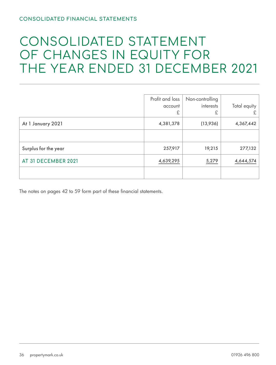### CONSOLIDATED STATEMENT OF CHANGES IN EQUITY FOR THE YEAR ENDED 31 DECEMBER 2021

|                      | Profit and loss<br>account<br>£ | Non-controlling<br>interests<br>£ | Total equity |
|----------------------|---------------------------------|-----------------------------------|--------------|
| At 1 January 2021    | 4,381,378                       | (13,936)                          | 4,367,442    |
|                      |                                 |                                   |              |
| Surplus for the year | 257,917                         | 19,215                            | 277,132      |
| AT 31 DECEMBER 2021  | 4,639,295                       | 5,279                             | 4,644,574    |
|                      |                                 |                                   |              |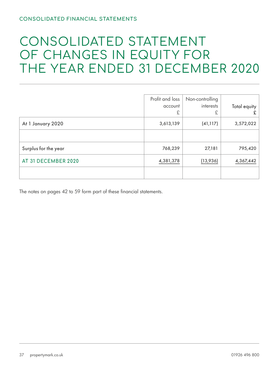### CONSOLIDATED STATEMENT OF CHANGES IN EQUITY FOR THE YEAR ENDED 31 DECEMBER 2020

|                      | Profit and loss<br>account<br>£ | Non-controlling<br>interests<br>£ | Total equity  <br>£ |
|----------------------|---------------------------------|-----------------------------------|---------------------|
| At 1 January 2020    | 3,613,139                       | (41, 117)                         | 3,572,022           |
|                      |                                 |                                   |                     |
| Surplus for the year | 768,239                         | 27,181                            | 795,420             |
| AT 31 DECEMBER 2020  | 4,381,378                       | (13,936)                          | 4,367,442           |
|                      |                                 |                                   |                     |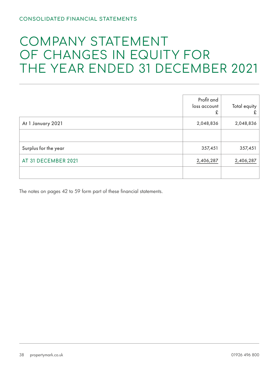### COMPANY STATEMENT OF CHANGES IN EQUITY FOR THE YEAR ENDED 31 DECEMBER 2021

|                      | Profit and<br>loss account<br>£ | Total equity |
|----------------------|---------------------------------|--------------|
| At 1 January 2021    | 2,048,836                       | 2,048,836    |
|                      |                                 |              |
| Surplus for the year | 357,451                         | 357,451      |
| AT 31 DECEMBER 2021  | 2,406,287                       | 2,406,287    |
|                      |                                 |              |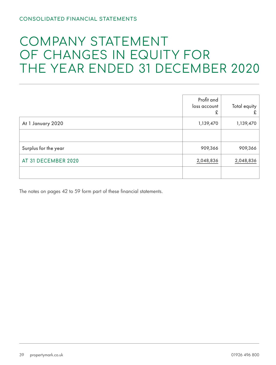### COMPANY STATEMENT OF CHANGES IN EQUITY FOR THE YEAR ENDED 31 DECEMBER 2020

|                      | Profit and<br>loss account<br>£ | Total equity<br>£ |
|----------------------|---------------------------------|-------------------|
| At 1 January 2020    | 1,139,470                       | 1,139,470         |
|                      |                                 |                   |
| Surplus for the year | 909,366                         | 909,366           |
| AT 31 DECEMBER 2020  | 2,048,836                       | 2,048,836         |
|                      |                                 |                   |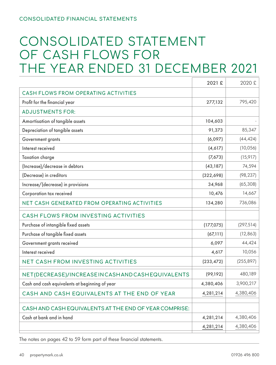### CONSOLIDATED STATEMENT OF CASH FLOWS FOR THE YEAR ENDED 31 DECEMBER 2021

|                                                        | 2021 £     | 2020 £     |
|--------------------------------------------------------|------------|------------|
| <b>CASH FLOWS FROM OPERATING ACTIVITIES</b>            |            |            |
| Profit for the financial year                          | 277,132    | 795,420    |
| <b>ADJUSTMENTS FOR:</b>                                |            |            |
| Amortisation of tangible assets                        | 104,603    |            |
| Depreciation of tangible assets                        | 91,373     | 85,347     |
| Government grants                                      | (6,097)    | (44, 424)  |
| Interest received                                      | (4,617)    | (10, 056)  |
| <b>Taxation charge</b>                                 | (7,673)    | (15, 917)  |
| (Increase)/decrease in debtors                         | (43, 187)  | 74,594     |
| (Decrease) in creditors                                | (322, 698) | (98, 237)  |
| Increase/(decrease) in provisions                      | 34,968     | (65, 308)  |
| Corporation tax received                               | 10,476     | 14,667     |
| NET CASH GENERATED FROM OPERATING ACTIVITIES           | 134,280    | 736,086    |
| CASH FLOWS FROM INVESTING ACTIVITIES                   |            |            |
| Purchase of intangible fixed assets                    | (177, 075) | (297, 514) |
| Purchase of tangible fixed assets                      | (67, 111)  | (12, 863)  |
| Government grants received                             | 6,097      | 44,424     |
| Interest received                                      | 4,617      | 10,056     |
| <b>NET CASH FROM INVESTING ACTIVITIES</b>              | (233, 472) | (255, 897) |
| NET(DECREASE)/INCREASEINCASHANDCASHEQUIVALENTS         | (99, 192)  | 480,189    |
| Cash and cash equivalents at beginning of year         | 4,380,406  | 3,900,217  |
| CASH AND CASH EQUIVALENTS AT THE END OF YEAR           | 4,281,214  | 4,380,406  |
| CASH AND CASH EQUIVALENTS AT THE END OF YEAR COMPRISE: |            |            |
| Cash at bank and in hand                               | 4,281,214  | 4,380,406  |
|                                                        | 4,281,214  | 4,380,406  |
|                                                        |            |            |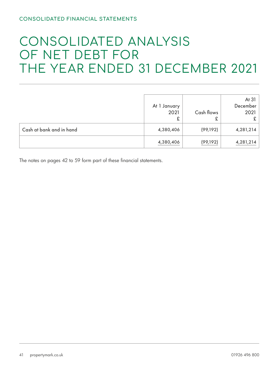### CONSOLIDATED ANALYSIS OF NET DEBT FOR THE YEAR ENDED 31 DECEMBER 2021

|                          | At 1 January<br>2021 | Cash flows<br>£ | At $31$<br>December<br>2021 |
|--------------------------|----------------------|-----------------|-----------------------------|
| Cash at bank and in hand | 4,380,406            | (99, 192)       | 4,281,214                   |
|                          | 4,380,406            | (99, 192)       | 4,281,214                   |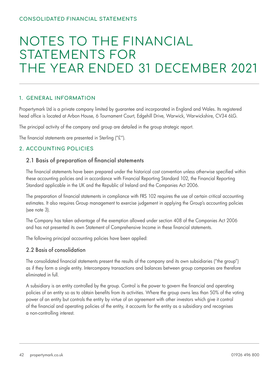### 1. GENERAL INFORMATION

Propertymark Ltd is a private company limited by guarantee and incorporated in England and Wales. Its registered head office is located at Arbon House, 6 Tournament Court, Edgehill Drive, Warwick, Warwickshire, CV34 6LG.

The principal activity of the company and group are detailed in the group strategic report.

The financial statements are presented in Sterling ("£").

### 2. ACCOUNTING POLICIES

### 2.1 Basis of preparation of financial statements

The financial statements have been prepared under the historical cost convention unless otherwise specified within these accounting policies and in accordance with Financial Reporting Standard 102, the Financial Reporting Standard applicable in the UK and the Republic of Ireland and the Companies Act 2006.

The preparation of financial statements in compliance with FRS 102 requires the use of certain critical accounting estimates. It also requires Group management to exercise judgement in applying the Group's accounting policies (see note 3).

The Company has taken advantage of the exemption allowed under section 408 of the Companies Act 2006 and has not presented its own Statement of Comprehensive Income in these financial statements.

The following principal accounting policies have been applied:

### 2.2 Basis of consolidation

The consolidated financial statements present the results of the company and its own subsidiaries ("the group") as if they form a single entity. Intercompany transactions and balances between group companies are therefore eliminated in full.

A subsidiary is an entity controlled by the group. Control is the power to govern the financial and operating policies of an entity so as to obtain benefits from its activities. Where the group owns less than 50% of the voting power of an entity but controls the entity by virtue of an agreement with other investors which give it control of the financial and operating policies of the entity, it accounts for the entity as a subsidiary and recognises a non-controlling interest.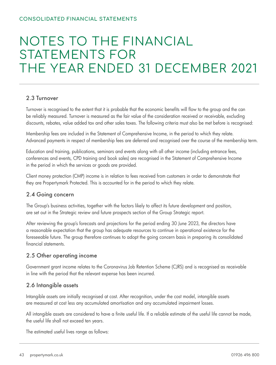### 2.3 Turnover

Turnover is recognised to the extent that it is probable that the economic benefits will flow to the group and the can be reliably measured. Turnover is measured as the fair value of the consideration received or receivable, excluding discounts, rebates, value added tax and other sales taxes. The following criteria must also be met before is recognised:

Membership fees are included in the Statement of Comprehensive Income, in the period to which they relate. Advanced payments in respect of membership fees are deferred and recognised over the course of the membership term.

Education and training, publications, seminars and events along with all other income (including entrance fees, conferences and events, CPD training and book sales) are recognised in the Statement of Comprehensive Income in the period in which the services or goods are provided.

Client money protection (CMP) income is in relation to fees received from customers in order to demonstrate that they are Propertymark Protected. This is accounted for in the period to which they relate.

### 2.4 Going concern

 The Group's business activities, together with the factors likely to affect its future development and position, are set out in the Strategic review and future prospects section of the Group Strategic report.

After reviewing the group's forecasts and projections for the period ending 30 June 2023, the directors have a reasonable expectation that the group has adequate resources to continue in operational existence for the foreseeable future. The group therefore continues to adopt the going concern basis in preparing its consolidated financial statements.

### 2.5 Other operating income

Government grant income relates to the Coronavirus Job Retention Scheme (CJRS) and is recognised as receivable in line with the period that the relevant expense has been incurred.

### 2.6 Intangible assets

Intangible assets are initially recognised at cost. After recognition, under the cost model, intangible assets are measured at cost less any accumulated amortisation and any accumulated impairment losses.

All intangible assets are considered to have a finite useful life. If a reliable estimate of the useful life cannot be made, the useful life shall not exceed ten years.

The estimated useful lives range as follows: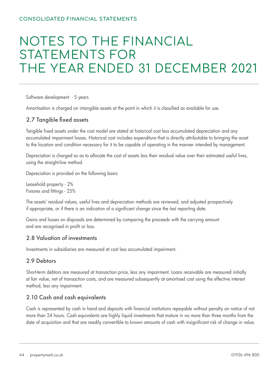Software development - 5 years

Amortisation is charged on intangible assets at the point in which it is classified as available for use.

### 2.7 Tangible fixed assets

Tangible fixed assets under the cost model are stated at historical cost less accumulated depreciation and any accumulated impairment losses. Historical cost includes expenditure that is directly attributable to bringing the asset to the location and condition necessary for it to be capable of operating in the manner intended by management.

Depreciation is charged so as to allocate the cost of assets less their residual value over their estimated useful lives, using the straight-line method.

Depreciation is provided on the following basis:

Leasehold property - 2% Fixtures and fittings ‑ 25%

The assets' residual values, useful lives and depreciation methods are reviewed, and adjusted prospectively if appropriate, or if there is an indication of a significant change since the last reporting date.

Gains and losses on disposals are determined by comparing the proceeds with the carrying amount and are recognised in profit or loss.

### 2.8 Valuation of investments

Investments in subsidiaries are measured at cost less accumulated impairment.

### 2.9 Debtors

Short-term debtors are measured at transaction price, less any impairment. Loans receivable are measured initially at fair value, net of transaction costs, and are measured subsequently at amortised cost using the effective interest method, less any impairment.

### 2.10 Cash and cash equivalents

Cash is represented by cash in hand and deposits with financial institutions repayable without penalty on notice of not more than 24 hours. Cash equivalents are highly liquid investments that mature in no more than three months from the date of acquisition and that are readily convertible to known amounts of cash with insignificant risk of change in value.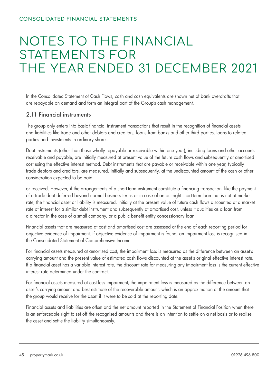In the Consolidated Statement of Cash Flows, cash and cash equivalents are shown net of bank overdrafts that are repayable on demand and form an integral part of the Group's cash management.

### 2.11 Financial instruments

The group only enters into basic financial instrument transactions that result in the recognition of financial assets and liabilities like trade and other debtors and creditors, loans from banks and other third parties, loans to related parties and investments in ordinary shares.

Debt instruments (other than those wholly repayable or receivable within one year), including loans and other accounts receivable and payable, are initially measured at present value of the future cash flows and subsequently at amortised cost using the effective interest method. Debt instruments that are payable or receivable within one year, typically trade debtors and creditors, are measured, initially and subsequently, at the undiscounted amount of the cash or other consideration expected to be paid

or received. However, if the arrangements of a short-term instrument constitute a financing transaction, like the payment of a trade debt deferred beyond normal business terms or in case of an out-right short-term loan that is not at market rate, the financial asset or liability is measured, initially at the present value of future cash flows discounted at a market rate of interest for a similar debt instrument and subsequently at amortised cost, unless it qualifies as a loan from a director in the case of a small company, or a public benefit entity concessionary loan.

Financial assets that are measured at cost and amortised cost are assessed at the end of each reporting period for objective evidence of impairment. If objective evidence of impairment is found, an impairment loss is recognised in the Consolidated Statement of Comprehensive Income.

For financial assets measured at amortised cost, the impairment loss is measured as the difference between an asset's carrying amount and the present value of estimated cash flows discounted at the asset's original effective interest rate. If a financial asset has a variable interest rate, the discount rate for measuring any impairment loss is the current effective interest rate determined under the contract.

For financial assets measured at cost less impairment, the impairment loss is measured as the difference between an asset's carrying amount and best estimate of the recoverable amount, which is an approximation of the amount that the group would receive for the asset if it were to be sold at the reporting date.

Financial assets and liabilities are offset and the net amount reported in the Statement of Financial Position when there is an enforceable right to set off the recognised amounts and there is an intention to settle on a net basis or to realise the asset and settle the liability simultaneously.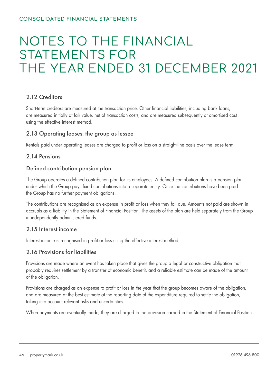### 2.12 Creditors

Short-term creditors are measured at the transaction price. Other financial liabilities, including bank loans, are measured initially at fair value, net of transaction costs, and are measured subsequently at amortised cost using the effective interest method.

### 2.13 Operating leases: the group as lessee

Rentals paid under operating leases are charged to profit or loss on a straight-line basis over the lease term.

### 2.14 Pensions

### Defined contribution pension plan

The Group operates a defined contribution plan for its employees. A defined contribution plan is a pension plan under which the Group pays fixed contributions into a separate entity. Once the contributions have been paid the Group has no further payment obligations.

The contributions are recognised as an expense in profit or loss when they fall due. Amounts not paid are shown in accruals as a liability in the Statement of Financial Position. The assets of the plan are held separately from the Group in independently administered funds.

### 2.15 Interest income

Interest income is recognised in profit or loss using the effective interest method.

### 2.16 Provisions for liabilities

Provisions are made where an event has taken place that gives the group a legal or constructive obligation that probably requires settlement by a transfer of economic benefit, and a reliable estimate can be made of the amount of the obligation.

Provisions are charged as an expense to profit or loss in the year that the group becomes aware of the obligation, and are measured at the best estimate at the reporting date of the expenditure required to settle the obligation, taking into account relevant risks and uncertainties.

When payments are eventually made, they are charged to the provision carried in the Statement of Financial Position.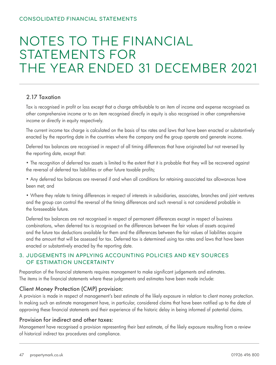### 2.17 Taxation

Tax is recognised in profit or loss except that a charge attributable to an item of income and expense recognised as other comprehensive income or to an item recognised directly in equity is also recognised in other comprehensive income or directly in equity respectively.

The current income tax charge is calculated on the basis of tax rates and laws that have been enacted or substantively enacted by the reporting date in the countries where the company and the group operate and generate income.

Deferred tax balances are recognised in respect of all timing differences that have originated but not reversed by the reporting date, except that:

• The recognition of deferred tax assets is limited to the extent that it is probable that they will be recovered against the reversal of deferred tax liabilities or other future taxable profits;

• Any deferred tax balances are reversed if and when all conditions for retaining associated tax allowances have been met; and

• Where they relate to timing differences in respect of interests in subsidiaries, associates, branches and joint ventures and the group can control the reversal of the timing differences and such reversal is not considered probable in the foreseeable future.

Deferred tax balances are not recognised in respect of permanent differences except in respect of business combinations, when deferred tax is recognised on the differences between the fair values of assets acquired and the future tax deductions available for them and the differences between the fair values of liabilities acquire and the amount that will be assessed for tax. Deferred tax is determined using tax rates and laws that have been enacted or substantively enacted by the reporting date.

### 3. JUDGEMENTS IN APPLYING ACCOUNTING POLICIES AND KEY SOURCES OF ESTIMATION UNCERTAINTY

Preparation of the financial statements requires management to make significant judgements and estimates. The items in the financial statements where these judgements and estimates have been made include:

### Client Money Protection (CMP) provision:

A provision is made in respect of management's best estimate of the likely exposure in relation to client money protection. In making such an estimate management have, in particular, considered claims that have been notified up to the date of approving these financial statements and their experience of the historic delay in being informed of potential claims.

### Provision for indirect and other taxes:

Management have recognised a provision representing their best estimate, of the likely exposure resulting from a review of historical indirect tax procedures and compliance.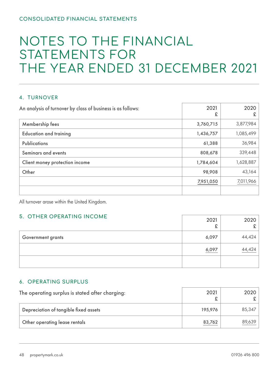#### 4. TURNOVER

| An analysis of turnover by class of business is as follows: | 2021<br>£ | 2020<br>£ |
|-------------------------------------------------------------|-----------|-----------|
| Membership fees                                             | 3,760,715 | 3,877,984 |
| <b>Education and training</b>                               | 1,436,757 | 1,085,499 |
| <b>Publications</b>                                         | 61,388    | 36,984    |
| Seminars and events                                         | 808,678   | 339,448   |
| Client money protection income                              | 1,784,604 | 1,628,887 |
| Other                                                       | 98,908    | 43,164    |
|                                                             | 7,951,050 | 7,011,966 |
|                                                             |           |           |

All turnover arose within the United Kingdom.

### 5. OTHER OPERATING INCOME

| 5. OTHER OPERATING INCOME | 2021<br>c | 2020   |
|---------------------------|-----------|--------|
| Government grants         | 6,097     | 44,424 |
|                           | 6,097     | 44,424 |
|                           |           |        |

### 6. OPERATING SURPLUS

| The operating surplus is stated after charging: | 2021    | 2020 l |
|-------------------------------------------------|---------|--------|
| Depreciation of tangible fixed assets           | 195,976 | 85,347 |
| Other operating lease rentals                   | 83,762  | 89,639 |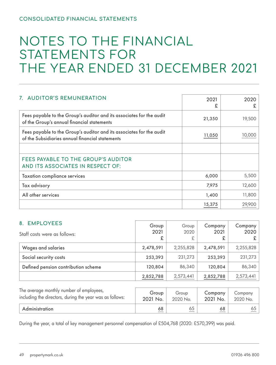| 7. AUDITOR'S REMUNERATION                                                                                               | 2021<br>£. | 2020<br>£ |
|-------------------------------------------------------------------------------------------------------------------------|------------|-----------|
| Fees payable to the Group's auditor and its associates for the audit<br>of the Group's annual financial statements      | 21,350     | 19,500    |
| Fees payable to the Group's auditor and its associates for the audit<br>of the Subsidiaries annual financial statements | 11,050     | 10,000    |
|                                                                                                                         |            |           |
| FEES PAYABLE TO THE GROUP'S AUDITOR<br>AND ITS ASSOCIATES IN RESPECT OF:                                                |            |           |
| <b>Taxation compliance services</b>                                                                                     | 6,000      | 5,500     |
| Tax advisory                                                                                                            | 7,975      | 12,600    |
| All other services                                                                                                      | 1,400      | 11,800    |
|                                                                                                                         | 15,375     | 29,900    |

| <b>EMPLOYEES</b><br>$8_{-}$<br>Staff costs were as follows: | Group<br>2021<br>£ | Group<br>2020<br>£ | Company<br>2021<br>£ | Company<br>2020 |
|-------------------------------------------------------------|--------------------|--------------------|----------------------|-----------------|
| Wages and salaries                                          | 2,478,591          | 2,255,828          | 2,478,591            | 2,255,828       |
| Social security costs                                       | 253,393            | 231,273            | 253,393              | 231,273         |
| Defined pension contribution scheme                         | 120,804            | 86,340             | 120,804              | 86,340          |
|                                                             | 2,852,788          | 2,573,441          | 2,852,788            | 2,573,441       |

| The average monthly number of employees,                 | Group    | Group    | Company  | Company  |
|----------------------------------------------------------|----------|----------|----------|----------|
| including the directors, during the year was as follows: | 2021 No. | 2020 No. | 2021 No. | 2020 No. |
| <b>Administration</b>                                    | 68       | 65       | 68       | 65       |

During the year, a total of key management personnel compensation of £504,768 (2020: £570,399) was paid.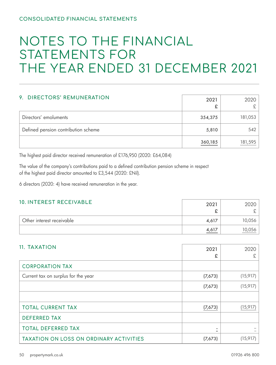| 9. DIRECTORS' REMUNERATION          | 2021    | 2020    |
|-------------------------------------|---------|---------|
| Directors' emoluments               | 354,375 | 181,053 |
| Defined pension contribution scheme | 5,810   | 542     |
|                                     | 360,185 | 181,595 |

The highest paid director received remuneration of £176,950 (2020: £64,084)

The value of the company's contributions paid to a defined contribution pension scheme in respect of the highest paid director amounted to £3,544 (2020: £Nil).

6 directors (2020: 4) have received remuneration in the year.

| <b>10. INTEREST RECEIVABLE</b> | 2021  |        |
|--------------------------------|-------|--------|
|                                |       |        |
| Other interest receivable      | 4,617 | 10,056 |
|                                | 4,617 | 10,056 |

### 11. TAXATION

|                                                | £       | £         |
|------------------------------------------------|---------|-----------|
| <b>CORPORATION TAX</b>                         |         |           |
| Current tax on surplus for the year            | (7,673) | (15, 917) |
|                                                | (7,673) | (15, 917) |
|                                                |         |           |
| <b>TOTAL CURRENT TAX</b>                       | (7,673) | (15, 917) |
| <b>DEFERRED TAX</b>                            |         |           |
| <b>TOTAL DEFERRED TAX</b>                      |         |           |
| <b>TAXATION ON LOSS ON ORDINARY ACTIVITIES</b> | (7,673) | (15, 917) |

2020

2021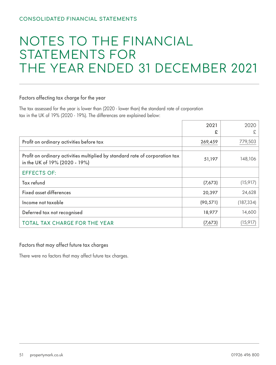### Factors affecting tax charge for the year

The tax assessed for the year is lower than (2020 - lower than) the standard rate of corporation tax in the UK of 19% (2020 - 19%). The differences are explained below:

|                                                                                                               | 2021<br>£ | 2020<br>£  |
|---------------------------------------------------------------------------------------------------------------|-----------|------------|
| Profit on ordinary activities before tax                                                                      | 269,459   | 779,503    |
| Profit on ordinary activities multiplied by standard rate of corporation tax<br>in the UK of 19% (2020 - 19%) | 51,197    | 148,106    |
| <b>EFFECTS OF:</b>                                                                                            |           |            |
| Tax refund                                                                                                    | (7,673)   | (15, 917)  |
| <b>Fixed asset differences</b>                                                                                | 20,397    | 24,628     |
| Income not taxable                                                                                            | (90, 571) | (187, 334) |
| Deferred tax not recognised                                                                                   | 18,977    | 14,600     |
| <b>TOTAL TAX CHARGE FOR THE YEAR</b>                                                                          | (7,673)   | (15, 917)  |

Factors that may affect future tax charges

There were no factors that may affect future tax charges.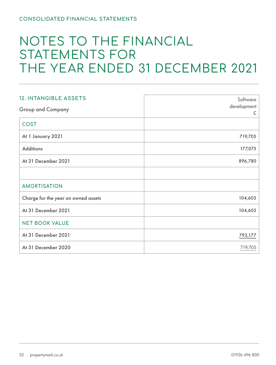| <b>12. INTANGIBLE ASSETS</b>        | Software         |
|-------------------------------------|------------------|
| <b>Group and Company</b>            | development<br>£ |
| <b>COST</b>                         |                  |
| At 1 January 2021                   | 719,705          |
| <b>Additions</b>                    | 177,075          |
| At 31 December 2021                 | 896,780          |
|                                     |                  |
| <b>AMORTISATION</b>                 |                  |
| Charge for the year on owned assets | 104,603          |
| At 31 December 2021                 | 104,603          |
| <b>NET BOOK VALUE</b>               |                  |
| At 31 December 2021                 | 792,177          |
| At 31 December 2020                 | 719,705          |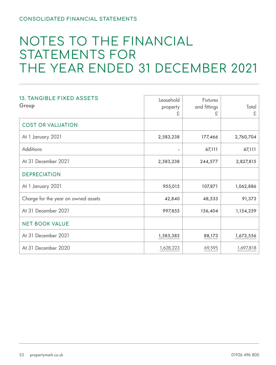| <b>13. TANGIBLE FIXED ASSETS</b><br>Group | Leasehold<br>property<br>£ | <b>Fixtures</b><br>and fittings<br>£ | Total<br>£ |
|-------------------------------------------|----------------------------|--------------------------------------|------------|
| <b>COST OR VALUATION</b>                  |                            |                                      |            |
| At 1 January 2021                         | 2,583,238                  | 177,466                              | 2,760,704  |
| <b>Additions</b>                          |                            | 67,111                               | 67,111     |
| At 31 December 2021                       | 2,583,238                  | 244,577                              | 2,827,815  |
| <b>DEPRECIATION</b>                       |                            |                                      |            |
| At 1 January 2021                         | 955,015                    | 107,871                              | 1,062,886  |
| Charge for the year on owned assets       | 42,840                     | 48,533                               | 91,373     |
| At 31 December 2021                       | 997,855                    | 156,404                              | 1,154,259  |
| <b>NET BOOK VALUE</b>                     |                            |                                      |            |
| At 31 December 2021                       | 1,585,383                  | 88,173                               | 1,673,556  |
| At 31 December 2020                       | 1,628,223                  | 69,595                               | 1,697,818  |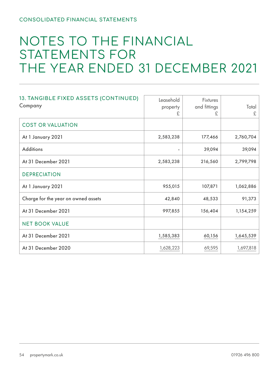| 13. TANGIBLE FIXED ASSETS (CONTINUED) | Leasehold | <b>Fixtures</b> |           |
|---------------------------------------|-----------|-----------------|-----------|
| Company                               | property  | and fittings    | Total     |
|                                       | £         | £               | £         |
| <b>COST OR VALUATION</b>              |           |                 |           |
| At 1 January 2021                     | 2,583,238 | 177,466         | 2,760,704 |
| <b>Additions</b>                      |           | 39,094          | 39,094    |
| At 31 December 2021                   | 2,583,238 | 216,560         | 2,799,798 |
| <b>DEPRECIATION</b>                   |           |                 |           |
| At 1 January 2021                     | 955,015   | 107,871         | 1,062,886 |
| Charge for the year on owned assets   | 42,840    | 48,533          | 91,373    |
| At 31 December 2021                   | 997,855   | 156,404         | 1,154,259 |
| <b>NET BOOK VALUE</b>                 |           |                 |           |
| At 31 December 2021                   | 1,585,383 | 60,156          | 1,645,539 |
| At 31 December 2020                   | 1,628,223 | 69,595          | 1,697,818 |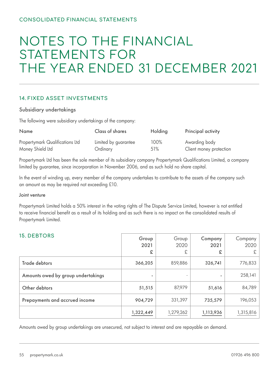### 14. FIXED ASSET INVESTMENTS

### Subsidiary undertakings

The following were subsidiary undertakings of the company:

| Name                                   | Class of shares      | Holding | Principal activity      |
|----------------------------------------|----------------------|---------|-------------------------|
| <b>Propertymark Qualifications Ltd</b> | Limited by guarantee | 100%    | Awarding body           |
| Money Shield Ltd                       | Ordinary             | 51%     | Client money protection |

Propertymark Ltd has been the sole member of its subsidiary company Propertymark Qualifications Limited, a company limited by guarantee, since incorporation in November 2006, and as such hold no share capital.

In the event of winding up, every member of the company undertakes to contribute to the assets of the company such an amount as may be required not exceeding £10.

#### Joint venture

Propertymark Limited holds a 50% interest in the voting rights of The Dispute Service Limited, however is not entitled to receive financial benefit as a result of its holding and as such there is no impact on the consolidated results of Propertymark Limited.

| <b>15. DEBTORS</b>                 | Group<br>2021<br>£ | Group<br>2020<br>£ | Company<br>2021<br>£ | Company<br>2020<br>£ |
|------------------------------------|--------------------|--------------------|----------------------|----------------------|
| <b>Trade debtors</b>               | 366,205            | 859,886            | 326,741              | 776,833              |
| Amounts owed by group undertakings |                    |                    | ۰                    | 258,141              |
| Other debtors                      | 51,515             | 87,979             | 51,616               | 84,789               |
| Prepayments and accrued income     | 904,729            | 331,397            | 735,579              | 196,053              |
|                                    | 1,322,449          | 1,279,262          | 1,113,936            | 1,315,816            |

Amounts owed by group undertakings are unsecured, not subject to interest and are repayable on demand.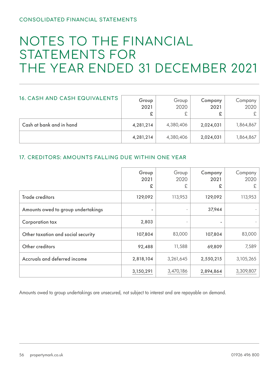| <b>16. CASH AND CASH EQUIVALENTS</b> | Group<br>2021 | Group<br>2020 | Company<br>2021<br>£ | Company<br>2020 |
|--------------------------------------|---------------|---------------|----------------------|-----------------|
| Cash at bank and in hand             | 4,281,214     | 4,380,406     | 2,024,031            | 1,864,867       |
|                                      | 4,281,214     | 4,380,406     | 2,024,031            | 1,864,867       |

### 17. CREDITORS: AMOUNTS FALLING DUE WITHIN ONE YEAR

|                                    | Group<br>2021<br>£ | Group<br>2020<br>£ | Company<br>2021<br>£ | Company<br>2020<br>£ |
|------------------------------------|--------------------|--------------------|----------------------|----------------------|
| <b>Trade creditors</b>             | 129,092            | 113,953            | 129,092              | 113,953              |
| Amounts owed to group undertakings |                    |                    | 37,944               |                      |
| Corporation tax                    | 2,803              | ٠                  | ۰                    |                      |
| Other taxation and social security | 107,804            | 83,000             | 107,804              | 83,000               |
| Other creditors                    | 92,488             | 11,588             | 69,809               | 7,589                |
| Accruals and deferred income       | 2,818,104          | 3,261,645          | 2,550,215            | 3,105,265            |
|                                    | 3,150,291          | 3,470,186          | 2,894,864            | 3,309,807            |

Amounts owed to group undertakings are unsecured, not subject to interest and are repayable on demand.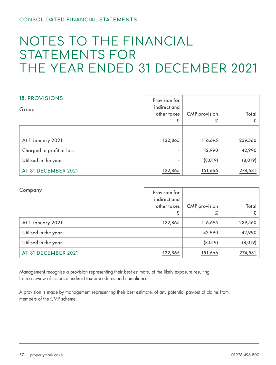| <b>18. PROVISIONS</b><br>Group | Provision for<br>indirect and<br>other taxes<br>£ | <b>CMP</b> provision<br>£ | Total<br>£ |
|--------------------------------|---------------------------------------------------|---------------------------|------------|
| At 1 January 2021              | 122,865                                           | 116,695                   | 239,560    |
| Charged to profit or loss      |                                                   | 42,990                    | 42,990     |
| Utilised in the year           | ۰                                                 | (8,019)                   | (8,019)    |
| AT 31 DECEMBER 2021            | 122,865                                           | 151,666                   | 274,531    |

| Company              | Provision for<br>indirect and<br>other taxes<br>£ | <b>CMP</b> provision<br>£ | Total   |
|----------------------|---------------------------------------------------|---------------------------|---------|
| At 1 January 2021    | 122,865                                           | 116,695                   | 239,560 |
| Utilised in the year |                                                   | 42,990                    | 42,990  |
| Utilised in the year |                                                   | (8,019)                   | (8,019) |
| AT 31 DECEMBER 2021  | 122,865                                           | 151,666                   | 274,531 |

Management recognise a provision representing their best estimate, of the likely exposure resulting from a review of historical indirect tax procedures and compliance.

A provision is made by management representing their best estimate, of any potential pay-out of claims from members of the CMP scheme.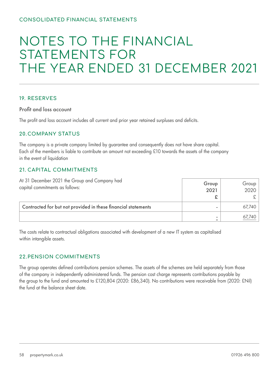### 19. RESERVES

Profit and loss account

The profit and loss account includes all current and prior year retained surpluses and deficits.

### 20.COMPANY STATUS

The company is a private company limited by guarantee and consequently does not have share capital. Each of the members is liable to contribute an amount not exceeding £10 towards the assets of the company in the event of liquidation

### 21. CAPITAL COMMITMENTS

| At 31 December 2021 the Group and Company had<br>capital commitments as follows: | Group<br>2021 | Group<br>2020 |
|----------------------------------------------------------------------------------|---------------|---------------|
|                                                                                  |               |               |
| Contracted for but not provided in these financial statements                    |               | 67.740        |
|                                                                                  |               | 67,740        |

The costs relate to contractual obligations associated with development of a new IT system as capitalised within intangible assets.

### 22.PENSION COMMITMENTS

The group operates defined contributions pension schemes. The assets of the schemes are held separately from those of the company in independently administered funds. The pension cost charge represents contributions payable by the group to the fund and amounted to £120,804 (2020: £86,340). No contributions were receivable from (2020: £Nil) the fund at the balance sheet date.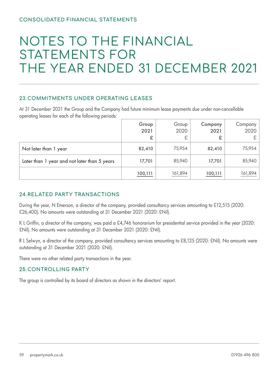### 23.COMMITMENTS UNDER OPERATING LEASES

At 31 December 2021 the Group and the Company had future minimum lease payments due under non-cancellable operating leases for each of the following periods:

|                                              | Group<br>2021<br>£ | Group<br>2020<br>£ | Company<br>2021 | Company  <br>2020 |
|----------------------------------------------|--------------------|--------------------|-----------------|-------------------|
| Not later than 1 year                        | 82,410             | 75,954             | 82,410          | 75,954            |
| Later than 1 year and not later than 5 years | 17,701             | 85,940             | 17,701          | 85,940            |
|                                              | 100,111            | 161,894            | 100,111         | 161,894           |

### 24.RELATED PARTY TRANSACTIONS

During the year, N Emerson, a director of the company, provided consultancy services amounting to £12,515 (2020: £26,400). No amounts were outstanding at 31 December 2021 (2020: £Nil).

K L Griffin, a director of the company, was paid a £4,746 honorarium for presidential service provided in the year (2020: £Nil). No amounts were outstanding at 31 December 2021 (2020: £Nil).

R L Selwyn, a director of the company, provided consultancy services amounting to £8,125 (2020: £Nil). No amounts were outstanding at 31 December 2021 (2020: £Nil).

There were no other related party transactions in the year.

### 25.CONTROLLING PARTY

The group is controlled by its board of directors as shown in the directors' report.